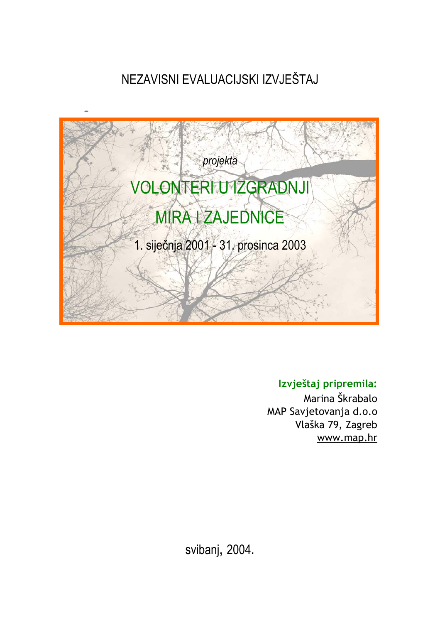NEZAVISNI EVALUACIJSKI IZVJEŠTAJ



### **Izvještaj pripremila:**

Marina Škrabalo MAP Savjetovanja d.o.o Vlaška 79, Zagreb www.map.hr

svibanj, 2004.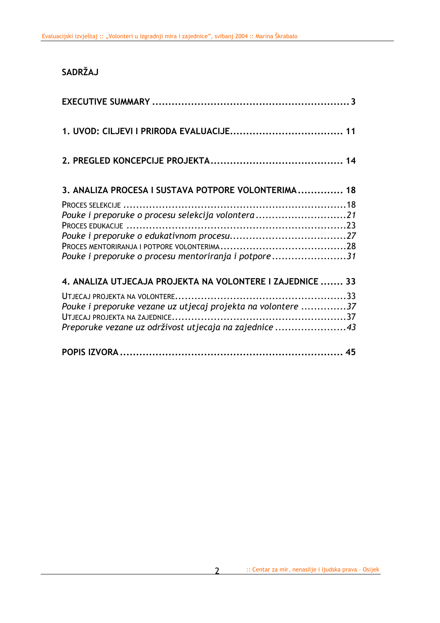### **SADRŽAJ**

| 3. ANALIZA PROCESA I SUSTAVA POTPORE VOLONTERIMA 18          |  |
|--------------------------------------------------------------|--|
|                                                              |  |
| Pouke i preporuke o procesu selekcija volontera21            |  |
|                                                              |  |
|                                                              |  |
|                                                              |  |
| Pouke i preporuke o procesu mentoriranja i potpore31         |  |
| 4. ANALIZA UTJECAJA PROJEKTA NA VOLONTERE I ZAJEDNICE  33    |  |
|                                                              |  |
| Pouke i preporuke vezane uz utjecaj projekta na volontere 37 |  |
|                                                              |  |
| Preporuke vezane uz održivost utjecaja na zajednice 43       |  |
|                                                              |  |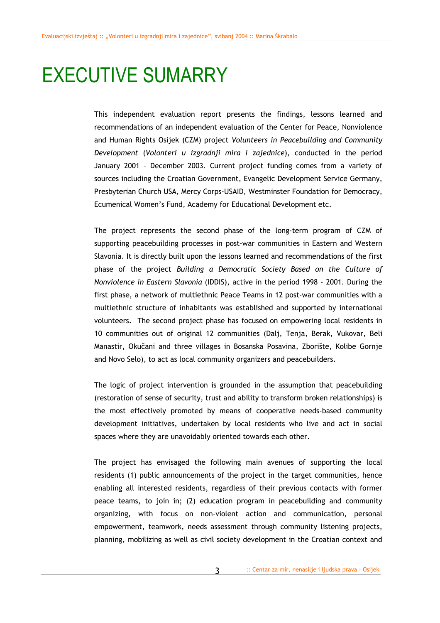## EXECUTIVE SUMARRY

This independent evaluation report presents the findings, lessons learned and recommendations of an independent evaluation of the Center for Peace, Nonviolence and Human Rights Osijek (CZM) project *Volunteers in Peacebuilding and Community Development* (*Volonteri u izgradnji mira i zajednice*), conducted in the period January 2001 – December 2003. Current project funding comes from a variety of sources including the Croatian Government, Evangelic Development Service Germany, Presbyterian Church USA, Mercy Corps-USAID, Westminster Foundation for Democracy, Ecumenical Women's Fund, Academy for Educational Development etc.

The project represents the second phase of the long-term program of CZM of supporting peacebuilding processes in post-war communities in Eastern and Western Slavonia. It is directly built upon the lessons learned and recommendations of the first phase of the project *Building a Democratic Society Based on the Culture of Nonviolence in Eastern Slavonia* (IDDIS), active in the period 1998 - 2001. During the first phase, a network of multiethnic Peace Teams in 12 post-war communities with a multiethnic structure of inhabitants was established and supported by international volunteers. The second project phase has focused on empowering local residents in 10 communities out of original 12 communities (Dalj, Tenja, Berak, Vukovar, Beli Manastir, Okučani and three villages in Bosanska Posavina, Zborište, Kolibe Gornje and Novo Selo), to act as local community organizers and peacebuilders.

The logic of project intervention is grounded in the assumption that peacebuilding (restoration of sense of security, trust and ability to transform broken relationships) is the most effectively promoted by means of cooperative needs-based community development initiatives, undertaken by local residents who live and act in social spaces where they are unavoidably oriented towards each other.

The project has envisaged the following main avenues of supporting the local residents (1) public announcements of the project in the target communities, hence enabling all interested residents, regardless of their previous contacts with former peace teams, to join in; (2) education program in peacebuilding and community organizing, with focus on non-violent action and communication, personal empowerment, teamwork, needs assessment through community listening projects, planning, mobilizing as well as civil society development in the Croatian context and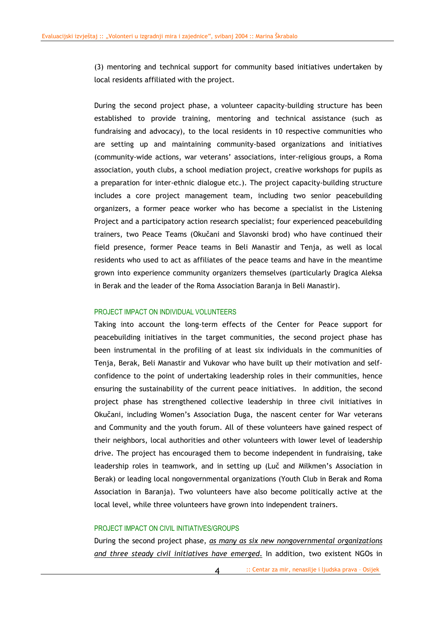(3) mentoring and technical support for community based initiatives undertaken by local residents affiliated with the project.

During the second project phase, a volunteer capacity-building structure has been established to provide training, mentoring and technical assistance (such as fundraising and advocacy), to the local residents in 10 respective communities who are setting up and maintaining community-based organizations and initiatives (community-wide actions, war veterans' associations, inter-religious groups, a Roma association, youth clubs, a school mediation project, creative workshops for pupils as a preparation for inter-ethnic dialogue etc.). The project capacity-building structure includes a core project management team, including two senior peacebuilding organizers, a former peace worker who has become a specialist in the Listening Project and a participatory action research specialist; four experienced peacebuilding trainers, two Peace Teams (Okučani and Slavonski brod) who have continued their field presence, former Peace teams in Beli Manastir and Tenja, as well as local residents who used to act as affiliates of the peace teams and have in the meantime grown into experience community organizers themselves (particularly Dragica Aleksa in Berak and the leader of the Roma Association Baranja in Beli Manastir).

#### PROJECT IMPACT ON INDIVIDUAL VOLUNTEERS

Taking into account the long-term effects of the Center for Peace support for peacebuilding initiatives in the target communities, the second project phase has been instrumental in the profiling of at least six individuals in the communities of Tenja, Berak, Beli Manastir and Vukovar who have built up their motivation and selfconfidence to the point of undertaking leadership roles in their communities, hence ensuring the sustainability of the current peace initiatives. In addition, the second project phase has strengthened collective leadership in three civil initiatives in Okučani, including Women's Association Duga, the nascent center for War veterans and Community and the youth forum. All of these volunteers have gained respect of their neighbors, local authorities and other volunteers with lower level of leadership drive. The project has encouraged them to become independent in fundraising, take leadership roles in teamwork, and in setting up (Luč and Milkmen's Association in Berak) or leading local nongovernmental organizations (Youth Club in Berak and Roma Association in Baranja). Two volunteers have also become politically active at the local level, while three volunteers have grown into independent trainers.

#### PROJECT IMPACT ON CIVIL INITIATIVES/GROUPS

During the second project phase, *as many as six new nongovernmental organizations and three steady civil initiatives have emerged*. In addition, two existent NGOs in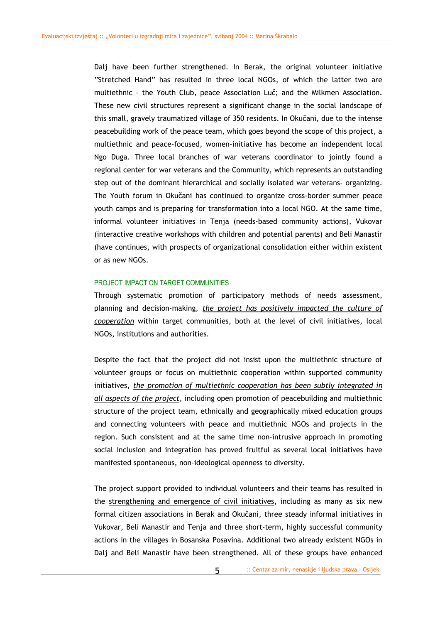Dalj have been further strengthened. In Berak, the original volunteer initiative "Stretched Hand" has resulted in three local NGOs, of which the latter two are multiethnic – the Youth Club, peace Association Luč; and the Milkmen Association. These new civil structures represent a significant change in the social landscape of this small, gravely traumatized village of 350 residents. In Okučani, due to the intense peacebuilding work of the peace team, which goes beyond the scope of this project, a multiethnic and peace-focused, women-initiative has become an independent local Ngo Duga. Three local branches of war veterans coordinator to jointly found a regional center for war veterans and the Community, which represents an outstanding step out of the dominant hierarchical and socially isolated war veterans- organizing. The Youth forum in Okučani has continued to organize cross-border summer peace youth camps and is preparing for transformation into a local NGO. At the same time, informal volunteer initiatives in Tenja (needs-based community actions), Vukovar (interactive creative workshops with children and potential parents) and Beli Manastir (have continues, with prospects of organizational consolidation either within existent or as new NGOs.

#### PROJECT IMPACT ON TARGET COMMUNITIES

Through systematic promotion of participatory methods of needs assessment, planning and decision-making, *the project has positively impacted the culture of cooperation* within target communities, both at the level of civil initiatives, local NGOs, institutions and authorities.

Despite the fact that the project did not insist upon the multiethnic structure of volunteer groups or focus on multiethnic cooperation within supported community initiatives, *the promotion of multiethnic cooperation has been subtly integrated in all aspects of the project*, including open promotion of peacebuilding and multiethnic structure of the project team, ethnically and geographically mixed education groups and connecting volunteers with peace and multiethnic NGOs and projects in the region. Such consistent and at the same time non-intrusive approach in promoting social inclusion and integration has proved fruitful as several local initiatives have manifested spontaneous, non-ideological openness to diversity.

The project support provided to individual volunteers and their teams has resulted in the strengthening and emergence of civil initiatives, including as many as six new formal citizen associations in Berak and Okučani, three steady informal initiatives in Vukovar, Beli Manastir and Tenja and three short-term, highly successful community actions in the villages in Bosanska Posavina. Additional two already existent NGOs in Dalj and Beli Manastir have been strengthened. All of these groups have enhanced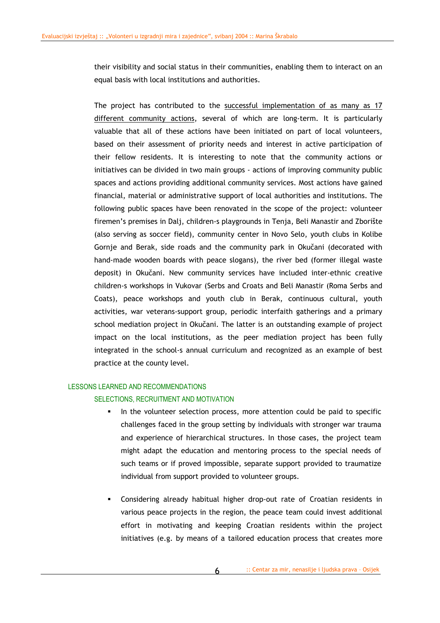their visibility and social status in their communities, enabling them to interact on an equal basis with local institutions and authorities.

The project has contributed to the successful implementation of as many as 17 different community actions, several of which are long-term. It is particularly valuable that all of these actions have been initiated on part of local volunteers, based on their assessment of priority needs and interest in active participation of their fellow residents. It is interesting to note that the community actions or initiatives can be divided in two main groups - actions of improving community public spaces and actions providing additional community services. Most actions have gained financial, material or administrative support of local authorities and institutions. The following public spaces have been renovated in the scope of the project: volunteer firemen's premises in Dalj, children-s playgrounds in Tenja, Beli Manastir and Zborište (also serving as soccer field), community center in Novo Selo, youth clubs in Kolibe Gornje and Berak, side roads and the community park in Okučani (decorated with hand-made wooden boards with peace slogans), the river bed (former illegal waste deposit) in Okučani. New community services have included inter-ethnic creative children-s workshops in Vukovar (Serbs and Croats and Beli Manastir (Roma Serbs and Coats), peace workshops and youth club in Berak, continuous cultural, youth activities, war veterans-support group, periodic interfaith gatherings and a primary school mediation project in Okučani. The latter is an outstanding example of project impact on the local institutions, as the peer mediation project has been fully integrated in the school-s annual curriculum and recognized as an example of best practice at the county level.

#### LESSONS LEARNED AND RECOMMENDATIONS

#### SELECTIONS, RECRUITMENT AND MOTIVATION

- In the volunteer selection process, more attention could be paid to specific challenges faced in the group setting by individuals with stronger war trauma and experience of hierarchical structures. In those cases, the project team might adapt the education and mentoring process to the special needs of such teams or if proved impossible, separate support provided to traumatize individual from support provided to volunteer groups.
- Considering already habitual higher drop-out rate of Croatian residents in various peace projects in the region, the peace team could invest additional effort in motivating and keeping Croatian residents within the project initiatives (e.g. by means of a tailored education process that creates more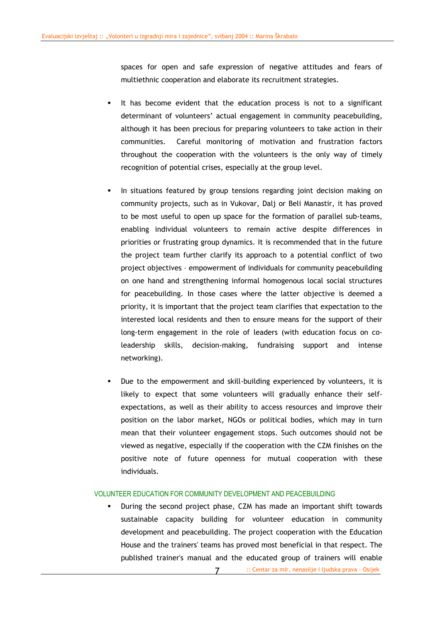spaces for open and safe expression of negative attitudes and fears of multiethnic cooperation and elaborate its recruitment strategies.

- It has become evident that the education process is not to a significant determinant of volunteers' actual engagement in community peacebuilding, although it has been precious for preparing volunteers to take action in their communities. Careful monitoring of motivation and frustration factors throughout the cooperation with the volunteers is the only way of timely recognition of potential crises, especially at the group level.
- In situations featured by group tensions regarding joint decision making on community projects, such as in Vukovar, Dalj or Beli Manastir, it has proved to be most useful to open up space for the formation of parallel sub-teams, enabling individual volunteers to remain active despite differences in priorities or frustrating group dynamics. It is recommended that in the future the project team further clarify its approach to a potential conflict of two project objectives – empowerment of individuals for community peacebuilding on one hand and strengthening informal homogenous local social structures for peacebuilding. In those cases where the latter objective is deemed a priority, it is important that the project team clarifies that expectation to the interested local residents and then to ensure means for the support of their long-term engagement in the role of leaders (with education focus on coleadership skills, decision-making, fundraising support and intense networking).
- Due to the empowerment and skill-building experienced by volunteers, it is likely to expect that some volunteers will gradually enhance their selfexpectations, as well as their ability to access resources and improve their position on the labor market, NGOs or political bodies, which may in turn mean that their volunteer engagement stops. Such outcomes should not be viewed as negative, especially if the cooperation with the CZM finishes on the positive note of future openness for mutual cooperation with these individuals.

#### VOLUNTEER EDUCATION FOR COMMUNITY DEVELOPMENT AND PEACEBUILDING

:: Centar za mir, nenasilje i ljudska prava – Osijek During the second project phase, CZM has made an important shift towards sustainable capacity building for volunteer education in community development and peacebuilding. The project cooperation with the Education House and the trainers' teams has proved most beneficial in that respect. The published trainer's manual and the educated group of trainers will enable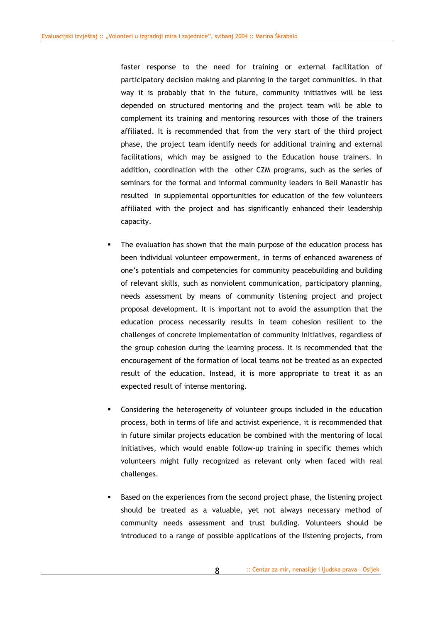faster response to the need for training or external facilitation of participatory decision making and planning in the target communities. In that way it is probably that in the future, community initiatives will be less depended on structured mentoring and the project team will be able to complement its training and mentoring resources with those of the trainers affiliated. It is recommended that from the very start of the third project phase, the project team identify needs for additional training and external facilitations, which may be assigned to the Education house trainers. In addition, coordination with the other CZM programs, such as the series of seminars for the formal and informal community leaders in Beli Manastir has resulted in supplemental opportunities for education of the few volunteers affiliated with the project and has significantly enhanced their leadership capacity.

- The evaluation has shown that the main purpose of the education process has been individual volunteer empowerment, in terms of enhanced awareness of one's potentials and competencies for community peacebuilding and building of relevant skills, such as nonviolent communication, participatory planning, needs assessment by means of community listening project and project proposal development. It is important not to avoid the assumption that the education process necessarily results in team cohesion resilient to the challenges of concrete implementation of community initiatives, regardless of the group cohesion during the learning process. It is recommended that the encouragement of the formation of local teams not be treated as an expected result of the education. Instead, it is more appropriate to treat it as an expected result of intense mentoring.
- Considering the heterogeneity of volunteer groups included in the education process, both in terms of life and activist experience, it is recommended that in future similar projects education be combined with the mentoring of local initiatives, which would enable follow-up training in specific themes which volunteers might fully recognized as relevant only when faced with real challenges.
- Based on the experiences from the second project phase, the listening project should be treated as a valuable, yet not always necessary method of community needs assessment and trust building. Volunteers should be introduced to a range of possible applications of the listening projects, from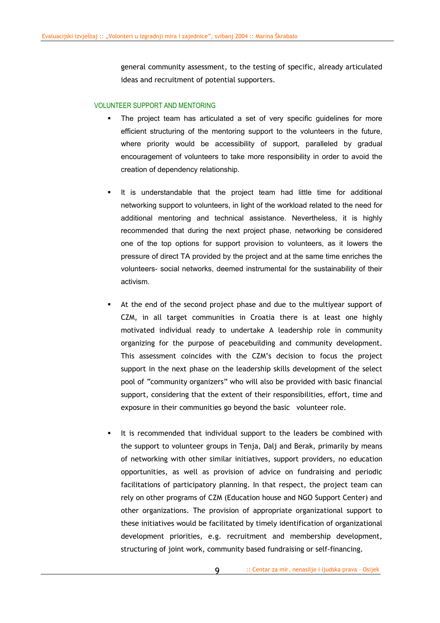general community assessment, to the testing of specific, already articulated ideas and recruitment of potential supporters.

#### VOLUNTEER SUPPORT AND MENTORING

- The project team has articulated a set of very specific guidelines for more efficient structuring of the mentoring support to the volunteers in the future, where priority would be accessibility of support, paralleled by gradual encouragement of volunteers to take more responsibility in order to avoid the creation of dependency relationship.
- It is understandable that the project team had little time for additional networking support to volunteers, in light of the workload related to the need for additional mentoring and technical assistance. Nevertheless, it is highly recommended that during the next project phase, networking be considered one of the top options for support provision to volunteers, as it lowers the pressure of direct TA provided by the project and at the same time enriches the volunteers- social networks, deemed instrumental for the sustainability of their activism.
- At the end of the second project phase and due to the multiyear support of CZM, in all target communities in Croatia there is at least one highly motivated individual ready to undertake A leadership role in community organizing for the purpose of peacebuilding and community development. This assessment coincides with the CZM's decision to focus the project support in the next phase on the leadership skills development of the select pool of "community organizers" who will also be provided with basic financial support, considering that the extent of their responsibilities, effort, time and exposure in their communities go beyond the basic volunteer role.
- It is recommended that individual support to the leaders be combined with the support to volunteer groups in Tenja, Dalj and Berak, primarily by means of networking with other similar initiatives, support providers, no education opportunities, as well as provision of advice on fundraising and periodic facilitations of participatory planning. In that respect, the project team can rely on other programs of CZM (Education house and NGO Support Center) and other organizations. The provision of appropriate organizational support to these initiatives would be facilitated by timely identification of organizational development priorities, e.g. recruitment and membership development, structuring of joint work, community based fundraising or self-financing.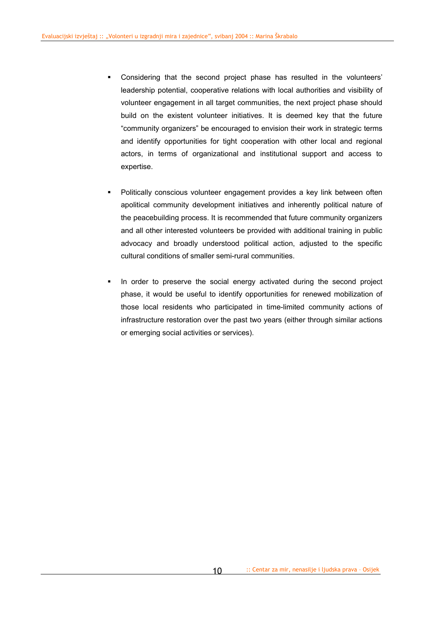- Considering that the second project phase has resulted in the volunteers' leadership potential, cooperative relations with local authorities and visibility of volunteer engagement in all target communities, the next project phase should build on the existent volunteer initiatives. It is deemed key that the future "community organizers" be encouraged to envision their work in strategic terms and identify opportunities for tight cooperation with other local and regional actors, in terms of organizational and institutional support and access to expertise.
- Politically conscious volunteer engagement provides a key link between often apolitical community development initiatives and inherently political nature of the peacebuilding process. It is recommended that future community organizers and all other interested volunteers be provided with additional training in public advocacy and broadly understood political action, adjusted to the specific cultural conditions of smaller semi-rural communities.
- In order to preserve the social energy activated during the second project phase, it would be useful to identify opportunities for renewed mobilization of those local residents who participated in time-limited community actions of infrastructure restoration over the past two years (either through similar actions or emerging social activities or services).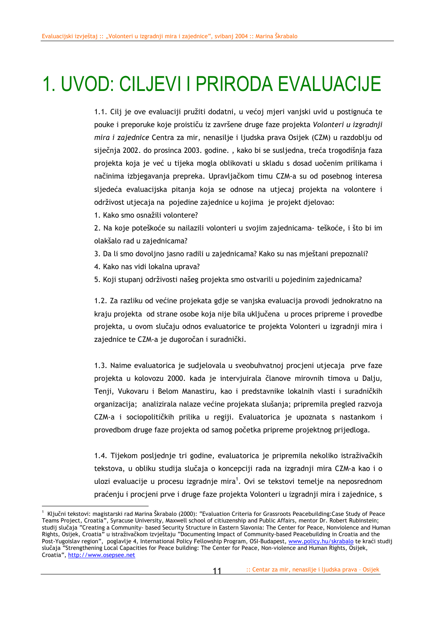# 1. UVOD: CILJEVI I PRIRODA EVALUACIJE

1.1. Cilj je ove evaluaciji pružiti dodatni, u većoj mjeri vanjski uvid u postignuća te pouke i preporuke koje proističu iz završene druge faze projekta *Volonteri u izgradnji mira i zajednice* Centra za mir, nenasilje i ljudska prava Osijek (CZM) u razdoblju od siječnja 2002. do prosinca 2003. godine. , kako bi se susljedna, treća trogodišnja faza projekta koja je već u tijeka mogla oblikovati u skladu s dosad uočenim prilikama i načinima izbjegavanja prepreka. Upravljačkom timu CZM-a su od posebnog interesa sljedeća evaluacijska pitanja koja se odnose na utjecaj projekta na volontere i održivost utjecaja na pojedine zajednice u kojima je projekt djelovao:

1. Kako smo osnažili volontere?

2. Na koje poteškoće su nailazili volonteri u svojim zajednicama- teškoće, i što bi im olakšalo rad u zajednicama?

- 3. Da li smo dovoljno jasno radili u zajednicama? Kako su nas mještani prepoznali?
- 4. Kako nas vidi lokalna uprava?
- 5. Koji stupanj održivosti našeg projekta smo ostvarili u pojedinim zajednicama?

1.2. Za razliku od većine projekata gdje se vanjska evaluacija provodi jednokratno na kraju projekta od strane osobe koja nije bila uključena u proces pripreme i provedbe projekta, u ovom slučaju odnos evaluatorice te projekta Volonteri u izgradnji mira i zajednice te CZM-a je dugoročan i suradnički.

1.3. Naime evaluatorica je sudjelovala u sveobuhvatnoj procjeni utjecaja prve faze projekta u kolovozu 2000. kada je intervjuirala članove mirovnih timova u Dalju, Tenji, Vukovaru i Belom Manastiru, kao i predstavnike lokalnih vlasti i suradničkih organizacija; analizirala nalaze većine projekata slušanja; pripremila pregled razvoja CZM-a i sociopolitičkih prilika u regiji. Evaluatorica je upoznata s nastankom i provedbom druge faze projekta od samog početka pripreme projektnog prijedloga.

1.4. Tijekom posljednje tri godine, evaluatorica je pripremila nekoliko istraživačkih tekstova, u obliku studija slučaja o koncepciji rada na izgradnji mira CZM-a kao i o ulozi evaluacije u procesu izgradnje mira<sup>1</sup>. Ovi se tekstovi temelje na neposrednom praćenju i procjeni prve i druge faze projekta Volonteri u izgradnji mira i zajednice, s

l 1 Ključni tekstovi: magistarski rad Marina Škrabalo (2000): "Evaluation Criteria for Grassroots Peacebuilding:Case Study of Peace Teams Project, Croatia", Syracuse University, Maxwell school of citiuzenship and Public Affairs, mentor Dr. Robert Rubinstein; studij slučaja "Creating a Community- based Security Structure in Eastern Slavonia: The Center for Peace, Nonviolence and Human Rights, Osijek, Croatia" u istraživačkom izvještaju "Documenting Impact of Community-based Peacebuilding in Croatia and the Post-Yugoislav region", poglavlje 4, International Policy Fellowship Program, OSI-Budapest, www.policy.hu/skrabalo te kraći studij slučaja "Strengthening Local Capacities for Peace building: The Center for Peace, Non-violence and Human Rights, Osijek, Croatia", http://www.osepsee.net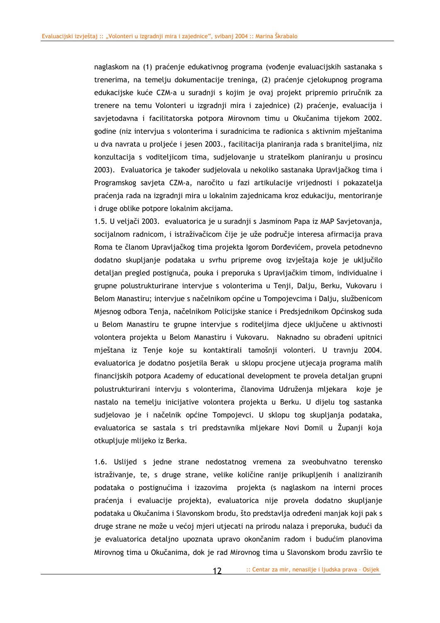naglaskom na (1) praćenje edukativnog programa (vođenje evaluacijskih sastanaka s trenerima, na temelju dokumentacije treninga, (2) praćenje cjelokupnog programa edukacijske kuće CZM-a u suradnji s kojim je ovaj projekt pripremio priručnik za trenere na temu Volonteri u izgradnji mira i zajednice) (2) praćenje, evaluacija i savjetodavna i facilitatorska potpora Mirovnom timu u Okučanima tijekom 2002. godine (niz intervjua s volonterima i suradnicima te radionica s aktivnim mještanima u dva navrata u proljeće i jesen 2003., facilitacija planiranja rada s braniteljima, niz konzultacija s voditeljicom tima, sudjelovanje u strateškom planiranju u prosincu 2003). Evaluatorica je također sudjelovala u nekoliko sastanaka Upravljačkog tima i Programskog savjeta CZM-a, naročito u fazi artikulacije vrijednosti i pokazatelja praćenja rada na izgradnji mira u lokalnim zajednicama kroz edukaciju, mentoriranje i druge oblike potpore lokalnim akcijama.

1.5. U veljači 2003. evaluatorica je u suradnji s Jasminom Papa iz MAP Savjetovanja, socijalnom radnicom, i istraživačicom čije je uže područje interesa afirmacija prava Roma te članom Upravljačkog tima projekta Igorom Đorđevićem, provela petodnevno dodatno skupljanje podataka u svrhu pripreme ovog izvještaja koje je uključilo detaljan pregled postignuća, pouka i preporuka s Upravljačkim timom, individualne i grupne polustrukturirane intervjue s volonterima u Tenji, Dalju, Berku, Vukovaru i Belom Manastiru; intervjue s načelnikom općine u Tompojevcima i Dalju, službenicom Mjesnog odbora Tenja, načelnikom Policijske stanice i Predsjednikom Općinskog suda u Belom Manastiru te grupne intervjue s roditeljima djece uključene u aktivnosti volontera projekta u Belom Manastiru i Vukovaru. Naknadno su obrađeni upitnici mještana iz Tenje koje su kontaktirali tamošnji volonteri. U travnju 2004. evaluatorica je dodatno posjetila Berak u sklopu procjene utjecaja programa malih financijskih potpora Academy of educational development te provela detaljan grupni polustrukturirani intervju s volonterima, članovima Udruženja mljekara koje je nastalo na temelju inicijative volontera projekta u Berku. U dijelu tog sastanka sudjelovao je i načelnik općine Tompojevci. U sklopu tog skupljanja podataka, evaluatorica se sastala s tri predstavnika mljekare Novi Domil u Županji koja otkupljuje mlijeko iz Berka.

1.6. Uslijed s jedne strane nedostatnog vremena za sveobuhvatno terensko istraživanje, te, s druge strane, velike količine ranije prikupljenih i analiziranih podataka o postignućima i izazovima projekta (s naglaskom na interni proces praćenja i evaluacije projekta), evaluatorica nije provela dodatno skupljanje podataka u Okučanima i Slavonskom brodu, što predstavlja određeni manjak koji pak s druge strane ne može u većoj mjeri utjecati na prirodu nalaza i preporuka, budući da je evaluatorica detaljno upoznata upravo okončanim radom i budućim planovima Mirovnog tima u Okučanima, dok je rad Mirovnog tima u Slavonskom brodu završio te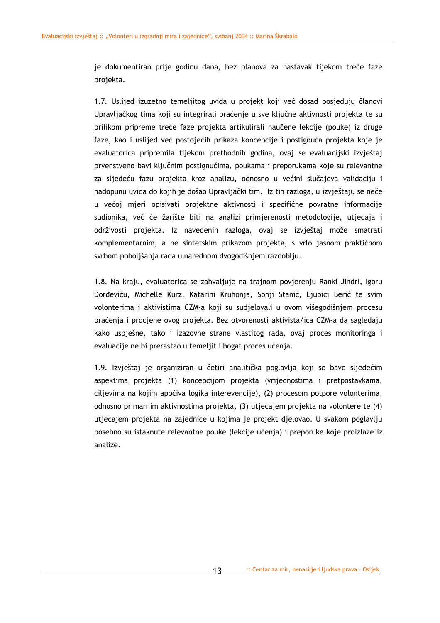je dokumentiran prije godinu dana, bez planova za nastavak tijekom treće faze projekta.

1.7. Uslijed izuzetno temeljitog uvida u projekt koji već dosad posjeduju članovi Upravljačkog tima koji su integrirali praćenje u sve ključne aktivnosti projekta te su prilikom pripreme treće faze projekta artikulirali naučene lekcije (pouke) iz druge faze, kao i uslijed već postojećih prikaza koncepcije i postignuća projekta koje je evaluatorica pripremila tijekom prethodnih godina, ovaj se evaluacijski izvještaj prvenstveno bavi ključnim postignućima, poukama i preporukama koje su relevantne za sljedeću fazu projekta kroz analizu, odnosno u većini slučajeva validaciju i nadopunu uvida do kojih je došao Upravljački tim. Iz tih razloga, u izvještaju se neće u većoj mjeri opisivati projektne aktivnosti i specifične povratne informacije sudionika, već će žarište biti na analizi primjerenosti metodologije, utjecaja i održivosti projekta. Iz navedenih razloga, ovaj se izvještaj može smatrati komplementarnim, a ne sintetskim prikazom projekta, s vrlo jasnom praktičnom svrhom poboljšanja rada u narednom dvogodišnjem razdoblju.

1.8. Na kraju, evaluatorica se zahvaljuje na trajnom povjerenju Ranki Jindri, Igoru Đorđeviću, Michelle Kurz, Katarini Kruhonja, Sonji Stanić, Ljubici Berić te svim volonterima i aktivistima CZM-a koji su sudjelovali u ovom višegodišnjem procesu praćenja i procjene ovog projekta. Bez otvorenosti aktivista/ica CZM-a da sagledaju kako uspješne, tako i izazovne strane vlastitog rada, ovaj proces monitoringa i evaluacije ne bi prerastao u temeljit i bogat proces učenja.

1.9. Izvještaj je organiziran u četiri analitička poglavlja koji se bave sljedećim aspektima projekta (1) koncepcijom projekta (vrijednostima i pretpostavkama, ciljevima na kojim apočiva logika interevencije), (2) procesom potpore volonterima, odnosno primarnim aktivnostima projekta, (3) utjecajem projekta na volontere te (4) utjecajem projekta na zajednice u kojima je projekt djelovao. U svakom poglavlju posebno su istaknute relevantne pouke (lekcije učenja) i preporuke koje proizlaze iz analize.

13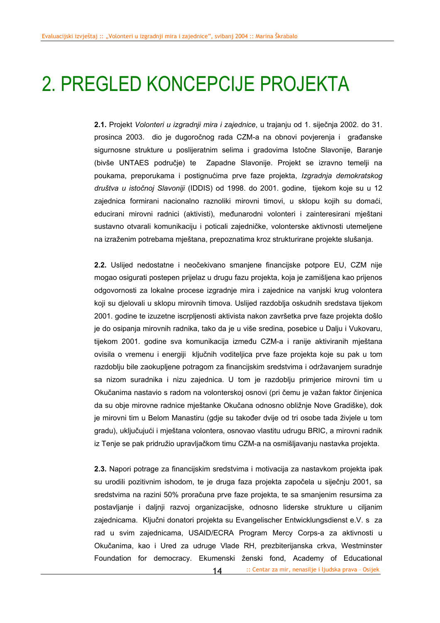## 2. PREGLED KONCEPCIJE PROJEKTA

 **2.1.** Projekt *Volonteri u izgradnji mira i zajednice*, u trajanju od 1. siječnja 2002. do 31. prosinca 2003. dio je dugoročnog rada CZM-a na obnovi povjerenja i građanske sigurnosne strukture u poslijeratnim selima i gradovima Istočne Slavonije, Baranje (bivše UNTAES područje) te Zapadne Slavonije. Projekt se izravno temelji na poukama, preporukama i postignućima prve faze projekta, *Izgradnja demokratskog društva u istočnoj Slavoniji* (IDDIS) od 1998. do 2001. godine, tijekom koje su u 12 zajednica formirani nacionalno raznoliki mirovni timovi, u sklopu kojih su domaći, educirani mirovni radnici (aktivisti), međunarodni volonteri i zainteresirani mještani sustavno otvarali komunikaciju i poticali zajedničke, volonterske aktivnosti utemeljene na izraženim potrebama mještana, prepoznatima kroz strukturirane projekte slušanja.

**2.2.** Uslijed nedostatne i neočekivano smanjene financijske potpore EU, CZM nije mogao osigurati postepen prijelaz u drugu fazu projekta, koja je zamišljena kao prijenos odgovornosti za lokalne procese izgradnje mira i zajednice na vanjski krug volontera koji su djelovali u sklopu mirovnih timova. Uslijed razdoblja oskudnih sredstava tijekom 2001. godine te izuzetne iscrpljenosti aktivista nakon završetka prve faze projekta došlo je do osipanja mirovnih radnika, tako da je u više sredina, posebice u Dalju i Vukovaru, tijekom 2001. godine sva komunikacija između CZM-a i ranije aktiviranih mještana ovisila o vremenu i energiji ključnih voditeljica prve faze projekta koje su pak u tom razdoblju bile zaokupljene potragom za financijskim sredstvima i održavanjem suradnje sa nizom suradnika i nizu zajednica. U tom je razdoblju primjerice mirovni tim u Okučanima nastavio s radom na volonterskoj osnovi (pri čemu je važan faktor činjenica da su obje mirovne radnice mještanke Okučana odnosno obližnje Nove Gradiške), dok je mirovni tim u Belom Manastiru (gdje su također dvije od tri osobe tada živjele u tom gradu), uključujući i mještana volontera, osnovao vlastitu udrugu BRIC, a mirovni radnik iz Tenje se pak pridružio upravljačkom timu CZM-a na osmišljavanju nastavka projekta.

**2.3.** Napori potrage za financijskim sredstvima i motivacija za nastavkom projekta ipak su urodili pozitivnim ishodom, te je druga faza projekta započela u siječnju 2001, sa sredstvima na razini 50% proračuna prve faze projekta, te sa smanjenim resursima za postavljanje i daljnji razvoj organizacijske, odnosno liderske strukture u ciljanim zajednicama. Ključni donatori projekta su Evangelischer Entwicklungsdienst e.V. s za rad u svim zajednicama, USAID/ECRA Program Mercy Corps-a za aktivnosti u Okučanima, kao i Ured za udruge Vlade RH, prezbiterijanska crkva, Westminster Foundation for democracy. Ekumenski ženski fond, Academy of Educational

:: Centar za mir, nenasilje i ljudska prava – Osijek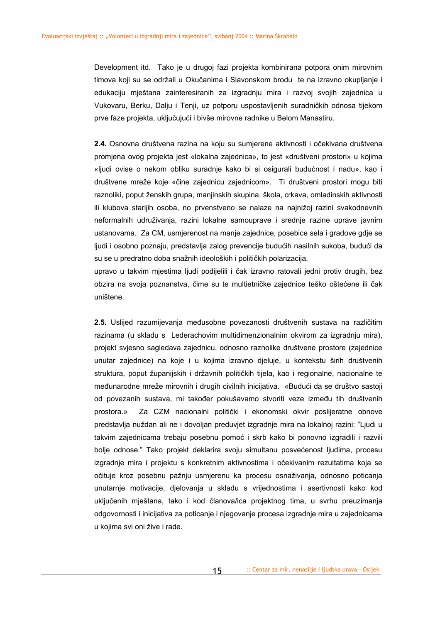Development itd. Tako je u drugoj fazi projekta kombinirana potpora onim mirovnim timova koji su se održali u Okučanima i Slavonskom brodu te na izravno okupljanje i edukaciju mještana zainteresiranih za izgradnju mira i razvoj svojih zajednica u Vukovaru, Berku, Dalju i Tenji, uz potporu uspostavljenih suradničkih odnosa tijekom prve faze projekta, uključujući i bivše mirovne radnike u Belom Manastiru.

**2.4.** Osnovna društvena razina na koju su sumjerene aktivnosti i očekivana društvena promjena ovog projekta jest «lokalna zajednica», to jest «društveni prostori» u kojima «ljudi ovise o nekom obliku suradnje kako bi si osigurali budućnost i nadu», kao i društvene mreže koje «čine zajednicu zajednicom». Ti društveni prostori mogu biti raznoliki, poput ženskih grupa, manjinskih skupina, škola, crkava, omladinskih aktivnosti ili klubova starijih osoba, no prvenstveno se nalaze na najnižoj razini svakodnevnih neformalnih udruživanja, razini lokalne samouprave i srednje razine uprave javnim ustanovama. Za CM, usmjerenost na manje zajednice, posebice sela i gradove gdje se ljudi i osobno poznaju, predstavlja zalog prevencije budućih nasilnih sukoba, budući da su se u predratno doba snažnih ideoloških i političkih polarizacija,

upravo u takvim mjestima ljudi podijelili i čak izravno ratovali jedni protiv drugih, bez obzira na svoja poznanstva, čime su te multietničke zajednice teško oštećene ili čak uništene.

**2.5.** Uslijed razumijevanja međusobne povezanosti društvenih sustava na različitim razinama (u skladu s Lederachovim multidimenzionalnim okvirom za izgradnju mira), projekt svjesno sagledava zajednicu, odnosno raznolike društvene prostore (zajednice unutar zajednice) na koje i u kojima izravno djeluje, u kontekstu širih društvenih struktura, poput županijskih i državnih političkih tijela, kao i regionalne, nacionalne te međunarodne mreže mirovnih i drugih civilnih inicijativa. «Budući da se društvo sastoji od povezanih sustava, mi također pokušavamo stvoriti veze između tih društvenih prostora.» Za CZM nacionalni politički i ekonomski okvir poslijeratne obnove predstavlja nuždan ali ne i dovoljan preduvjet izgradnje mira na lokalnoj razini: "Ljudi u takvim zajednicama trebaju posebnu pomoć i skrb kako bi ponovno izgradili i razvili bolje odnose." Tako projekt deklarira svoju simultanu posvećenost ljudima, procesu izgradnje mira i projektu s konkretnim aktivnostima i očekivanim rezultatima koja se očituje kroz posebnu pažnju usmjerenu ka procesu osnaživanja, odnosno poticanja unutarnje motivacije, djelovanja u skladu s vrijednostima i asertivnosti kako kod uključenih mještana, tako i kod članova/ica projektnog tima, u svrhu preuzimanja odgovornosti i inicijativa za poticanje i njegovanje procesa izgradnje mira u zajednicama u kojima svi oni žive i rade.

15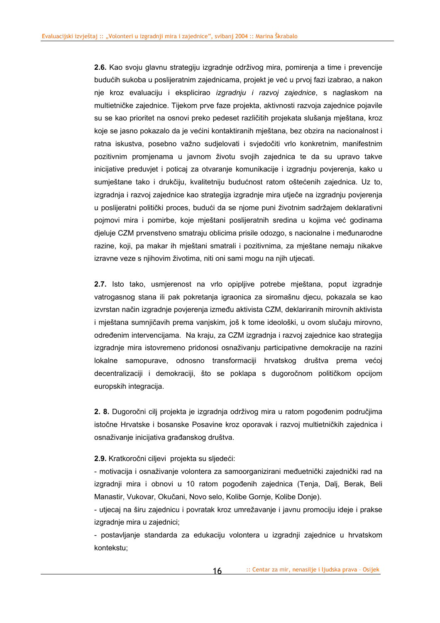**2.6.** Kao svoju glavnu strategiju izgradnje održivog mira, pomirenja a time i prevencije budućih sukoba u poslijeratnim zajednicama, projekt je već u prvoj fazi izabrao, a nakon nje kroz evaluaciju i eksplicirao *izgradnju i razvoj zajednice*, s naglaskom na multietničke zajednice. Tijekom prve faze projekta, aktivnosti razvoja zajednice pojavile su se kao prioritet na osnovi preko pedeset različitih projekata slušanja mještana, kroz koje se jasno pokazalo da je većini kontaktiranih mještana, bez obzira na nacionalnost i ratna iskustva, posebno važno sudjelovati i svjedočiti vrlo konkretnim, manifestnim pozitivnim promjenama u javnom životu svojih zajednica te da su upravo takve inicijative preduvjet i poticaj za otvaranje komunikacije i izgradnju povjerenja, kako u sumještane tako i drukčiju, kvalitetniju budućnost ratom oštećenih zajednica. Uz to, izgradnja i razvoj zajednice kao strategija izgradnje mira utječe na izgradnju povjerenja u poslijeratni politički proces, budući da se njome puni životnim sadržajem deklarativni pojmovi mira i pomirbe, koje mještani poslijeratnih sredina u kojima već godinama djeluje CZM prvenstveno smatraju oblicima prisile odozgo, s nacionalne i međunarodne razine, koji, pa makar ih mještani smatrali i pozitivnima, za mještane nemaju nikakve izravne veze s njihovim životima, niti oni sami mogu na njih utjecati.

**2.7.** Isto tako, usmjerenost na vrlo opipljive potrebe mještana, poput izgradnje vatrogasnog stana ili pak pokretanja igraonica za siromašnu djecu, pokazala se kao izvrstan način izgradnje povjerenja između aktivista CZM, deklariranih mirovnih aktivista i mještana sumnjičavih prema vanjskim, još k tome ideološki, u ovom slučaju mirovno, određenim intervencijama. Na kraju, za CZM izgradnja i razvoj zajednice kao strategija izgradnje mira istovremeno pridonosi osnaživanju participativne demokracije na razini lokalne samopurave, odnosno transformaciji hrvatskog društva prema većoj decentralizaciji i demokraciji, što se poklapa s dugoročnom političkom opcijom europskih integracija.

**2. 8.** Dugoročni cilj projekta je izgradnja održivog mira u ratom pogođenim područjima istočne Hrvatske i bosanske Posavine kroz oporavak i razvoj multietničkih zajednica i osnaživanje inicijativa građanskog društva.

**2.9.** Kratkoročni ciljevi projekta su sljedeći:

- motivacija i osnaživanje volontera za samoorganizirani međuetnički zajednički rad na izgradnji mira i obnovi u 10 ratom pogođenih zajednica (Tenja, Dalj, Berak, Beli Manastir, Vukovar, Okučani, Novo selo, Kolibe Gornje, Kolibe Donje).

- utjecaj na širu zajednicu i povratak kroz umrežavanje i javnu promociju ideje i prakse izgradnje mira u zajednici;

- postavljanje standarda za edukaciju volontera u izgradnji zajednice u hrvatskom kontekstu;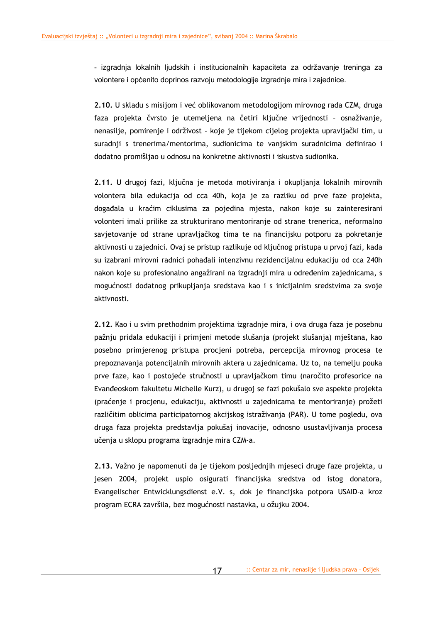- izgradnja lokalnih ljudskih i institucionalnih kapaciteta za održavanje treninga za volontere i općenito doprinos razvoju metodologije izgradnje mira i zajednice.

**2.10.** U skladu s misijom i već oblikovanom metodologijom mirovnog rada CZM, druga faza projekta čvrsto je utemeljena na četiri ključne vrijednosti – osnaživanje, nenasilje, pomirenje i održivost - koje je tijekom cijelog projekta upravljački tim, u suradnji s trenerima/mentorima, sudionicima te vanjskim suradnicima definirao i dodatno promišljao u odnosu na konkretne aktivnosti i iskustva sudionika.

**2.11.** U drugoj fazi, ključna je metoda motiviranja i okupljanja lokalnih mirovnih volontera bila edukacija od cca 40h, koja je za razliku od prve faze projekta, događala u kraćim ciklusima za pojedina mjesta, nakon koje su zainteresirani volonteri imali prilike za strukturirano mentoriranje od strane trenerica, neformalno savjetovanje od strane upravljačkog tima te na financijsku potporu za pokretanje aktivnosti u zajednici. Ovaj se pristup razlikuje od ključnog pristupa u prvoj fazi, kada su izabrani mirovni radnici pohađali intenzivnu rezidencijalnu edukaciju od cca 240h nakon koje su profesionalno angažirani na izgradnji mira u određenim zajednicama, s mogućnosti dodatnog prikupljanja sredstava kao i s inicijalnim sredstvima za svoje aktivnosti.

**2.12.** Kao i u svim prethodnim projektima izgradnje mira, i ova druga faza je posebnu pažnju pridala edukaciji i primjeni metode slušanja (projekt slušanja) mještana, kao posebno primjerenog pristupa procjeni potreba, percepcija mirovnog procesa te prepoznavanja potencijalnih mirovnih aktera u zajednicama. Uz to, na temelju pouka prve faze, kao i postojeće stručnosti u upravljačkom timu (naročito profesorice na Evanđeoskom fakultetu Michelle Kurz), u drugoj se fazi pokušalo sve aspekte projekta (praćenje i procjenu, edukaciju, aktivnosti u zajednicama te mentoriranje) prožeti različitim oblicima participatornog akcijskog istraživanja (PAR). U tome pogledu, ova druga faza projekta predstavlja pokušaj inovacije, odnosno usustavljivanja procesa učenja u sklopu programa izgradnje mira CZM-a.

**2.13.** Važno je napomenuti da je tijekom posljednjih mjeseci druge faze projekta, u jesen 2004, projekt uspio osigurati financijska sredstva od istog donatora, Evangelischer Entwicklungsdienst e.V. s, dok je financijska potpora USAID-a kroz program ECRA završila, bez mogućnosti nastavka, u ožujku 2004.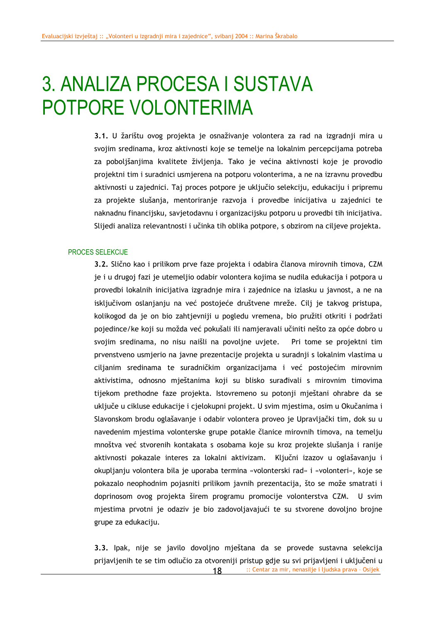## 3. ANALIZA PROCESA I SUSTAVA POTPORE VOLONTERIMA

**3.1.** U žarištu ovog projekta je osnaživanje volontera za rad na izgradnji mira u svojim sredinama, kroz aktivnosti koje se temelje na lokalnim percepcijama potreba za poboljšanjima kvalitete življenja. Tako je većina aktivnosti koje je provodio projektni tim i suradnici usmjerena na potporu volonterima, a ne na izravnu provedbu aktivnosti u zajednici. Taj proces potpore je uključio selekciju, edukaciju i pripremu za projekte slušanja, mentoriranje razvoja i provedbe inicijativa u zajednici te naknadnu financijsku, savjetodavnu i organizacijsku potporu u provedbi tih inicijativa. Slijedi analiza relevantnosti i učinka tih oblika potpore, s obzirom na ciljeve projekta.

#### PROCES SELEKCIJE

**3.2.** Slično kao i prilikom prve faze projekta i odabira članova mirovnih timova, CZM je i u drugoj fazi je utemeljio odabir volontera kojima se nudila edukacija i potpora u provedbi lokalnih inicijativa izgradnje mira i zajednice na izlasku u javnost, a ne na isključivom oslanjanju na već postojeće društvene mreže. Cilj je takvog pristupa, kolikogod da je on bio zahtjevniji u pogledu vremena, bio pružiti otkriti i podržati pojedince/ke koji su možda već pokušali ili namjeravali učiniti nešto za opće dobro u svojim sredinama, no nisu naišli na povoljne uvjete. Pri tome se projektni tim prvenstveno usmjerio na javne prezentacije projekta u suradnji s lokalnim vlastima u ciljanim sredinama te suradničkim organizacijama i već postojećim mirovnim aktivistima, odnosno mještanima koji su blisko surađivali s mirovnim timovima tijekom prethodne faze projekta. Istovremeno su potonji mještani ohrabre da se uključe u cikluse edukacije i cjelokupni projekt. U svim mjestima, osim u Okučanima i Slavonskom brodu oglašavanje i odabir volontera proveo je Upravljački tim, dok su u navedenim mjestima volonterske grupe potakle članice mirovnih timova, na temelju mnoštva već stvorenih kontakata s osobama koje su kroz projekte slušanja i ranije aktivnosti pokazale interes za lokalni aktivizam. Ključni izazov u oglašavanju i okupljanju volontera bila je uporaba termina «volonterski rad» i «volonteri», koje se pokazalo neophodnim pojasniti prilikom javnih prezentacija, što se može smatrati i doprinosom ovog projekta širem programu promocije volonterstva CZM. U svim mjestima prvotni je odaziv je bio zadovoljavajući te su stvorene dovoljno brojne grupe za edukaciju.

:: Centar za mir, nenasilje i ljudska prava – Osijek **3.3.** Ipak, nije se javilo dovoljno mještana da se provede sustavna selekcija prijavljenih te se tim odlučio za otvoreniji pristup gdje su svi prijavljeni i uključeni u

18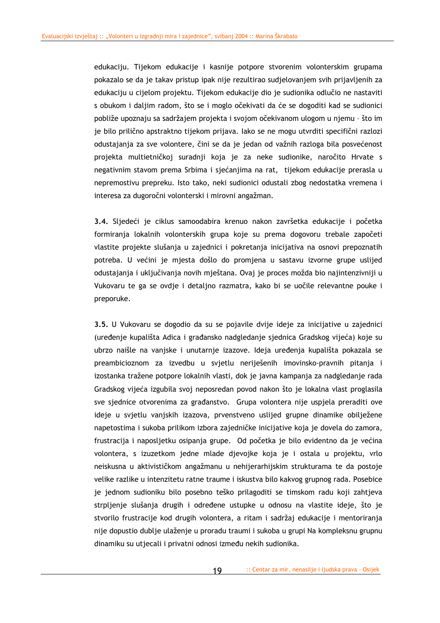edukaciju. Tijekom edukacije i kasnije potpore stvorenim volonterskim grupama pokazalo se da je takav pristup ipak nije rezultirao sudjelovanjem svih prijavljenih za edukaciju u cijelom projektu. Tijekom edukacije dio je sudionika odlučio ne nastaviti s obukom i daljim radom, što se i moglo očekivati da će se dogoditi kad se sudionici pobliže upoznaju sa sadržajem projekta i svojom očekivanom ulogom u njemu – što im je bilo prilično apstraktno tijekom prijava. Iako se ne mogu utvrditi specifični razlozi odustajanja za sve volontere, čini se da je jedan od važnih razloga bila posvećenost projekta multietničkoj suradnji koja je za neke sudionike, naročito Hrvate s negativnim stavom prema Srbima i sjećanjima na rat, tijekom edukacije prerasla u nepremostivu prepreku. Isto tako, neki sudionici odustali zbog nedostatka vremena i interesa za dugoročni volonterski i mirovni angažman.

**3.4.** Sljedeći je ciklus samoodabira krenuo nakon završetka edukacije i početka formiranja lokalnih volonterskih grupa koje su prema dogovoru trebale započeti vlastite projekte slušanja u zajednici i pokretanja inicijativa na osnovi prepoznatih potreba. U većini je mjesta došlo do promjena u sastavu izvorne grupe uslijed odustajanja i uključivanja novih mještana. Ovaj je proces možda bio najintenzivniji u Vukovaru te ga se ovdje i detaljno razmatra, kako bi se uočile relevantne pouke i preporuke.

**3.5.** U Vukovaru se dogodio da su se pojavile dvije ideje za inicijative u zajednici (uređenje kupališta Adica i građansko nadgledanje sjednica Gradskog vijeća) koje su ubrzo naišle na vanjske i unutarnje izazove. Ideja uređenja kupališta pokazala se preambicioznom za izvedbu u svjetlu neriješenih imovinsko-pravnih pitanja i izostanka tražene potpore lokalnih vlasti, dok je javna kampanja za nadgledanje rada Gradskog vijeća izgubila svoj neposredan povod nakon što je lokalna vlast proglasila sve sjednice otvorenima za građanstvo. Grupa volontera nije uspjela preraditi ove ideje u svjetlu vanjskih izazova, prvenstveno uslijed grupne dinamike obilježene napetostima i sukoba prilikom izbora zajedničke inicijative koja je dovela do zamora, frustracija i naposljetku osipanja grupe. Od početka je bilo evidentno da je većina volontera, s izuzetkom jedne mlade djevojke koja je i ostala u projektu, vrlo neiskusna u aktivističkom angažmanu u nehijerarhijskim strukturama te da postoje velike razlike u intenzitetu ratne traume i iskustva bilo kakvog grupnog rada. Posebice je jednom sudioniku bilo posebno teško prilagoditi se timskom radu koji zahtjeva strpljenje slušanja drugih i određene ustupke u odnosu na vlastite ideje, što je stvorilo frustracije kod drugih volontera, a ritam i sadržaj edukacije i mentoriranja nije dopustio dublje ulaženje u proradu traumi i sukoba u grupi Na kompleksnu grupnu dinamiku su utjecali i privatni odnosi između nekih sudionika.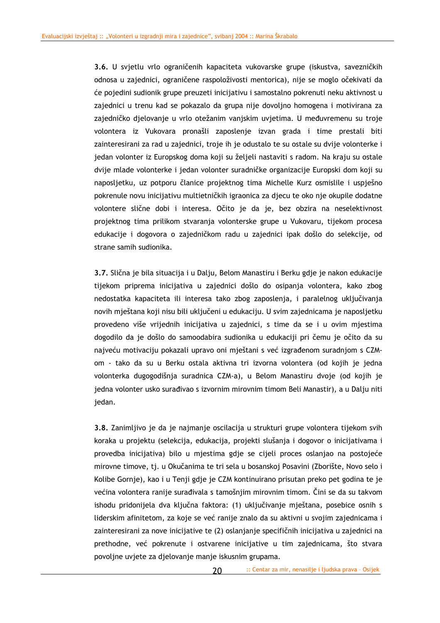**3.6.** U svjetlu vrlo ograničenih kapaciteta vukovarske grupe (iskustva, savezničkih odnosa u zajednici, ograničene raspoloživosti mentorica), nije se moglo očekivati da će pojedini sudionik grupe preuzeti inicijativu i samostalno pokrenuti neku aktivnost u zajednici u trenu kad se pokazalo da grupa nije dovoljno homogena i motivirana za zajedničko djelovanje u vrlo otežanim vanjskim uvjetima. U međuvremenu su troje volontera iz Vukovara pronašli zaposlenje izvan grada i time prestali biti zainteresirani za rad u zajednici, troje ih je odustalo te su ostale su dvije volonterke i jedan volonter iz Europskog doma koji su željeli nastaviti s radom. Na kraju su ostale dvije mlade volonterke i jedan volonter suradničke organizacije Europski dom koji su naposljetku, uz potporu članice projektnog tima Michelle Kurz osmislile i uspješno pokrenule novu inicijativu multietničkih igraonica za djecu te oko nje okupile dodatne volontere slične dobi i interesa. Očito je da je, bez obzira na neselektivnost projektnog tima prilikom stvaranja volonterske grupe u Vukovaru, tijekom procesa edukacije i dogovora o zajedničkom radu u zajednici ipak došlo do selekcije, od strane samih sudionika.

**3.7.** Slična je bila situacija i u Dalju, Belom Manastiru i Berku gdje je nakon edukacije tijekom priprema inicijativa u zajednici došlo do osipanja volontera, kako zbog nedostatka kapaciteta ili interesa tako zbog zaposlenja, i paralelnog uključivanja novih mještana koji nisu bili uključeni u edukaciju. U svim zajednicama je naposljetku provedeno više vrijednih inicijativa u zajednici, s time da se i u ovim mjestima dogodilo da je došlo do samoodabira sudionika u edukaciji pri čemu je očito da su najveću motivaciju pokazali upravo oni mještani s već izgrađenom suradnjom s CZMom - tako da su u Berku ostala aktivna tri izvorna volontera (od kojih je jedna volonterka dugogodišnja suradnica CZM-a), u Belom Manastiru dvoje (od kojih je jedna volonter usko surađivao s izvornim mirovnim timom Beli Manastir), a u Dalju niti jedan.

**3.8.** Zanimljivo je da je najmanje oscilacija u strukturi grupe volontera tijekom svih koraka u projektu (selekcija, edukacija, projekti slušanja i dogovor o inicijativama i provedba inicijativa) bilo u mjestima gdje se cijeli proces oslanjao na postojeće mirovne timove, tj. u Okučanima te tri sela u bosanskoj Posavini (Zborište, Novo selo i Kolibe Gornje), kao i u Tenji gdje je CZM kontinuirano prisutan preko pet godina te je većina volontera ranije surađivala s tamošnjim mirovnim timom. Čini se da su takvom ishodu pridonijela dva ključna faktora: (1) uključivanje mještana, posebice osnih s liderskim afinitetom, za koje se već ranije znalo da su aktivni u svojim zajednicama i zainteresirani za nove inicijative te (2) oslanjanje specifičnih inicijativa u zajednici na prethodne, već pokrenute i ostvarene inicijative u tim zajednicama, što stvara povoljne uvjete za djelovanje manje iskusnim grupama.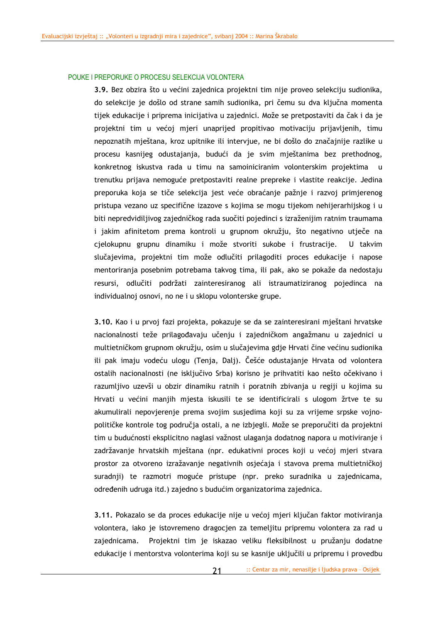#### POUKE I PREPORUKE O PROCESU SELEKCIJA VOLONTERA

**3.9.** Bez obzira što u većini zajednica projektni tim nije proveo selekciju sudionika, do selekcije je došlo od strane samih sudionika, pri čemu su dva ključna momenta tijek edukacije i priprema inicijativa u zajednici. Može se pretpostaviti da čak i da je projektni tim u većoj mjeri unaprijed propitivao motivaciju prijavljenih, timu nepoznatih mještana, kroz upitnike ili intervjue, ne bi došlo do značajnije razlike u procesu kasnijeg odustajanja, budući da je svim mještanima bez prethodnog, konkretnog iskustva rada u timu na samoiniciranim volonterskim projektima u trenutku prijava nemoguće pretpostaviti realne prepreke i vlastite reakcije. Jedina preporuka koja se tiče selekcija jest veće obraćanje pažnje i razvoj primjerenog pristupa vezano uz specifične izazove s kojima se mogu tijekom nehijerarhijskog i u biti nepredvidiljivog zajedničkog rada suočiti pojedinci s izraženijim ratnim traumama i jakim afinitetom prema kontroli u grupnom okružju, što negativno utječe na cjelokupnu grupnu dinamiku i može stvoriti sukobe i frustracije. U takvim slučajevima, projektni tim može odlučiti prilagoditi proces edukacije i napose mentoriranja posebnim potrebama takvog tima, ili pak, ako se pokaže da nedostaju resursi, odlučiti podržati zainteresiranog ali istraumatiziranog pojedinca na individualnoj osnovi, no ne i u sklopu volonterske grupe.

**3.10.** Kao i u prvoj fazi projekta, pokazuje se da se zainteresirani mještani hrvatske nacionalnosti teže prilagođavaju učenju i zajedničkom angažmanu u zajednici u multietničkom grupnom okružju, osim u slučajevima gdje Hrvati čine većinu sudionika ili pak imaju vodeću ulogu (Tenja, Dalj). Češće odustajanje Hrvata od volontera ostalih nacionalnosti (ne isključivo Srba) korisno je prihvatiti kao nešto očekivano i razumljivo uzevši u obzir dinamiku ratnih i poratnih zbivanja u regiji u kojima su Hrvati u većini manjih mjesta iskusili te se identificirali s ulogom žrtve te su akumulirali nepovjerenje prema svojim susjedima koji su za vrijeme srpske vojnopolitičke kontrole tog područja ostali, a ne izbjegli. Može se preporučiti da projektni tim u budućnosti eksplicitno naglasi važnost ulaganja dodatnog napora u motiviranje i zadržavanje hrvatskih mještana (npr. edukativni proces koji u većoj mjeri stvara prostor za otvoreno izražavanje negativnih osjećaja i stavova prema multietničkoj suradnji) te razmotri moguće pristupe (npr. preko suradnika u zajednicama, određenih udruga itd.) zajedno s budućim organizatorima zajednica.

**3.11.** Pokazalo se da proces edukacije nije u većoj mjeri ključan faktor motiviranja volontera, iako je istovremeno dragocjen za temeljitu pripremu volontera za rad u zajednicama. Projektni tim je iskazao veliku fleksibilnost u pružanju dodatne edukacije i mentorstva volonterima koji su se kasnije uključili u pripremu i provedbu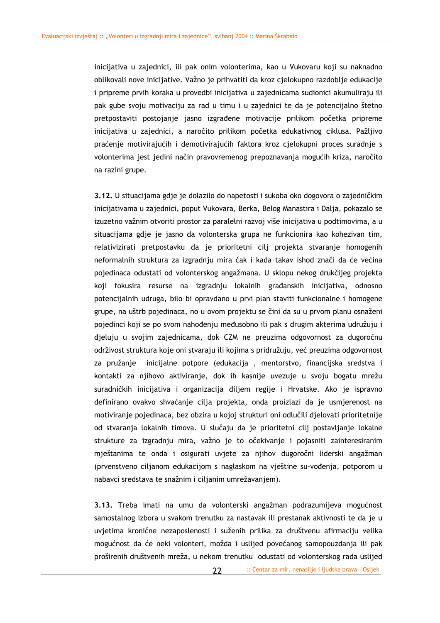inicijativa u zajednici, ili pak onim volonterima, kao u Vukovaru koji su naknadno oblikovali nove inicijative. Važno je prihvatiti da kroz cjelokupno razdoblje edukacije i pripreme prvih koraka u provedbi inicijativa u zajednicama sudionici akumuliraju ili pak gube svoju motivaciju za rad u timu i u zajednici te da je potencijalno štetno pretpostaviti postojanje jasno izgrađene motivacije prilikom početka pripreme inicijativa u zajednici, a naročito prilikom početka edukativnog ciklusa. Pažljivo praćenje motivirajućih i demotivirajućih faktora kroz cjelokupni proces suradnje s volonterima jest jedini način pravovremenog prepoznavanja mogućih kriza, naročito na razini grupe.

**3.12.** U situacijama gdje je dolazilo do napetosti i sukoba oko dogovora o zajedničkim inicijativama u zajednici, poput Vukovara, Berka, Belog Manastira i Dalja, pokazalo se izuzetno važnim otvoriti prostor za paralelni razvoj više inicijativa u podtimovima, a u situacijama gdje je jasno da volonterska grupa ne funkcionira kao kohezivan tim, relativizirati pretpostavku da je prioritetni cilj projekta stvaranje homogenih neformalnih struktura za izgradnju mira čak i kada takav ishod znači da će većina pojedinaca odustati od volonterskog angažmana. U sklopu nekog drukčijeg projekta koji fokusira resurse na izgradnju lokalnih građanskih inicijativa, odnosno potencijalnih udruga, bilo bi opravdano u prvi plan staviti funkcionalne i homogene grupe, na uštrb pojedinaca, no u ovom projektu se čini da su u prvom planu osnaženi pojedinci koji se po svom nahođenju međusobno ili pak s drugim akterima udružuju i djeluju u svojim zajednicama, dok CZM ne preuzima odgovornost za dugoročnu održivost struktura koje oni stvaraju ili kojima s pridružuju, već preuzima odgovornost za pružanje inicijalne potpore (edukacija , mentorstvo, financijska sredstva i kontakti za njihovo aktiviranje, dok ih kasnije uvezuje u svoju bogatu mrežu suradničkih inicijativa i organizacija diljem regije i Hrvatske. Ako je ispravno definirano ovakvo shvaćanje cilja projekta, onda proizlazi da je usmjerenost na motiviranje pojedinaca, bez obzira u kojoj strukturi oni odlučili djelovati prioritetnije od stvaranja lokalnih timova. U slučaju da je prioritetni cilj postavljanje lokalne strukture za izgradnju mira, važno je to očekivanje i pojasniti zainteresiranim mještanima te onda i osigurati uvjete za njihov dugoročni liderski angažman (prvenstveno ciljanom edukacijom s naglaskom na vještine su-vođenja, potporom u nabavci sredstava te snažnim i ciljanim umrežavanjem).

**3.13.** Treba imati na umu da volonterski angažman podrazumijeva mogućnost samostalnog izbora u svakom trenutku za nastavak ili prestanak aktivnosti te da je u uvjetima kronične nezaposlenosti i suženih prilika za društvenu afirmaciju velika mogućnost da će neki volonteri, možda i uslijed povećanog samopouzdanja ili pak proširenih društvenih mreža, u nekom trenutku odustati od volonterskog rada uslijed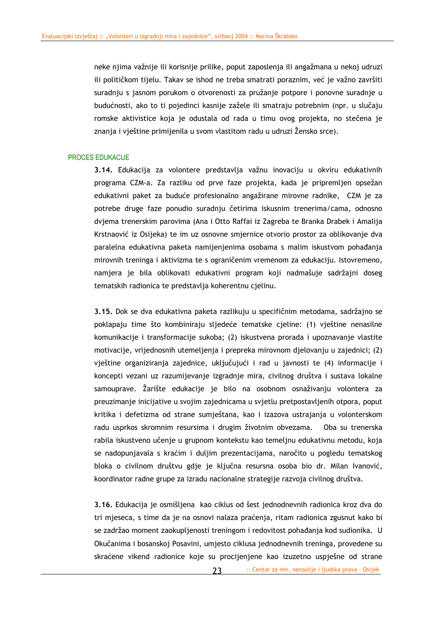neke njima važnije ili korisnije prilike, poput zaposlenja ili angažmana u nekoj udruzi ili političkom tijelu. Takav se ishod ne treba smatrati poraznim, već je važno završiti suradnju s jasnom porukom o otvorenosti za pružanje potpore i ponovne suradnje u budućnosti, ako to ti pojedinci kasnije zažele ili smatraju potrebnim (npr. u slučaju romske aktivistice koja je odustala od rada u timu ovog projekta, no stečena je znanja i vještine primijenila u svom vlastitom radu u udruzi Žensko srce).

#### PROCES EDUKACIJE

**3.14.** Edukacija za volontere predstavlja važnu inovaciju u okviru edukativnih programa CZM-a. Za razliku od prve faze projekta, kada je pripremljen opsežan edukativni paket za buduće profesionalno angažirane mirovne radnike, CZM je za potrebe druge faze ponudio suradnju četirima iskusnim trenerima/cama, odnosno dvjema trenerskim parovima (Ana i Otto Raffai iz Zagreba te Branka Drabek i Amalija Krstnaović iz Osijeka) te im uz osnovne smjernice otvorio prostor za oblikovanje dva paralelna edukativna paketa namijenjenima osobama s malim iskustvom pohađanja mirovnih treninga i aktivizma te s ograničenim vremenom za edukaciju. Istovremeno, namjera je bila oblikovati edukativni program koji nadmašuje sadržajni doseg tematskih radionica te predstavlja koherentnu cjelinu.

**3.15.** Dok se dva edukativna paketa razlikuju u specifičnim metodama, sadržajno se poklapaju time što kombiniraju sljedeće tematske cjeline: (1) vještine nenasilne komunikacije i transformacije sukoba; (2) iskustvena prorada i upoznavanje vlastite motivacije, vrijednosnih utemeljenja i prepreka mirovnom djelovanju u zajednici; (2) vještine organiziranja zajednice, uključujući i rad u javnosti te (4) informacije i koncepti vezani uz razumijevanje izgradnje mira, civilnog društva i sustava lokalne samouprave. Žarište edukacije je bilo na osobnom osnaživanju volontera za preuzimanje inicijative u svojim zajednicama u svjetlu pretpostavljenih otpora, poput kritika i defetizma od strane sumještana, kao i izazova ustrajanja u volonterskom radu usprkos skromnim resursima i drugim životnim obvezama. Oba su trenerska rabila iskustveno učenje u grupnom kontekstu kao temeljnu edukativnu metodu, koja se nadopunjavala s kraćim i duljim prezentacijama, naročito u pogledu tematskog bloka o civilnom društvu gdje je ključna resursna osoba bio dr. Milan Ivanović, koordinator radne grupe za izradu nacionalne strategije razvoja civilnog društva.

**3.16.** Edukacija je osmišljena kao ciklus od šest jednodnevnih radionica kroz dva do tri mjeseca, s time da je na osnovi nalaza praćenja, ritam radionica zgusnut kako bi se zadržao moment zaokupljenosti treningom i redovitost pohađanja kod sudionika. U Okučanima i bosanskoj Posavini, umjesto ciklusa jednodnevnih treninga, provedene su skraćene vikend radionice koje su procijenjene kao izuzetno uspješne od strane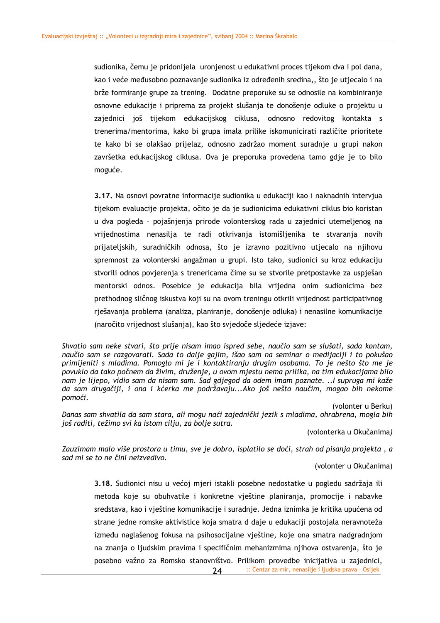sudionika, čemu je pridonijela uronjenost u edukativni proces tijekom dva i pol dana, kao i veće međusobno poznavanje sudionika iz određenih sredina,, što je utjecalo i na brže formiranje grupe za trening. Dodatne preporuke su se odnosile na kombiniranje osnovne edukacije i priprema za projekt slušanja te donošenje odluke o projektu u zajednici još tijekom edukacijskog ciklusa, odnosno redovitog kontakta s trenerima/mentorima, kako bi grupa imala prilike iskomunicirati različite prioritete te kako bi se olakšao prijelaz, odnosno zadržao moment suradnje u grupi nakon završetka edukacijskog ciklusa. Ova je preporuka provedena tamo gdje je to bilo moguće.

**3.17.** Na osnovi povratne informacije sudionika u edukaciji kao i naknadnih intervjua tijekom evaluacije projekta, očito je da je sudionicima edukativni ciklus bio koristan u dva pogleda – pojašnjenja prirode volonterskog rada u zajednici utemeljenog na vrijednostima nenasilja te radi otkrivanja istomišljenika te stvaranja novih prijateljskih, suradničkih odnosa, što je izravno pozitivno utjecalo na njihovu spremnost za volonterski angažman u grupi. Isto tako, sudionici su kroz edukaciju stvorili odnos povjerenja s trenericama čime su se stvorile pretpostavke za uspješan mentorski odnos. Posebice je edukacija bila vrijedna onim sudionicima bez prethodnog sličnog iskustva koji su na ovom treningu otkrili vrijednost participativnog rješavanja problema (analiza, planiranje, donošenje odluka) i nenasilne komunikacije (naročito vrijednost slušanja), kao što svjedoče sljedeće izjave:

*Shvatio sam neke stvari, što prije nisam imao ispred sebe, naučio sam se slušati, sada kontam, naučio sam se razgovarati. Sada to dalje gajim, išao sam na seminar o medijaciji i to pokušao primijeniti s mladima. Pomoglo mi je i kontaktiranju drugim osobama. To je nešto što me je povuklo da tako počnem da živim, druženje, u ovom mjestu nema prilika, na tim edukacijama bilo nam je lijepo, vidio sam da nisam sam. Sad gdjegod da odem imam poznate. ..I supruga mi kaže da sam drugačiji, i ona i kćerka me podržavaju...Ako još nešto naučim, mogao bih nekome pomoći*.

(volonter u Berku)

*Danas sam shvatila da sam stara, ali mogu naći zajednički jezik s mladima, ohrabrena, mogla bih još raditi, težimo svi ka istom cilju, za bolje sutra.*

(volonterka u Okučanima*)* 

*Zauzimam malo više prostora u timu, sve je dobro, isplatilo se doći, strah od pisanja projekta , a sad mi se to ne čini neizvedivo.*

(volonter u Okučanima)

24 :: Centar za mir, nenasilje i ljudska prava - Osijek **3.18.** Sudionici nisu u većoj mjeri istakli posebne nedostatke u pogledu sadržaja ili metoda koje su obuhvatile i konkretne vještine planiranja, promocije i nabavke sredstava, kao i vještine komunikacije i suradnje. Jedna iznimka je kritika upućena od strane jedne romske aktivistice koja smatra d daje u edukaciji postojala neravnoteža između naglašenog fokusa na psihosocijalne vještine, koje ona smatra nadgradnjom na znanja o ljudskim pravima i specifičnim mehanizmima njihova ostvarenja, što je posebno važno za Romsko stanovništvo. Prilikom provedbe inicijativa u zajednici,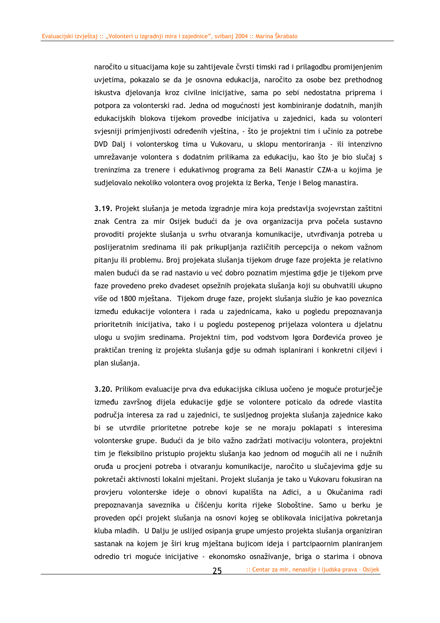naročito u situacijama koje su zahtijevale čvrsti timski rad i prilagodbu promijenjenim uvjetima, pokazalo se da je osnovna edukacija, naročito za osobe bez prethodnog iskustva djelovanja kroz civilne inicijative, sama po sebi nedostatna priprema i potpora za volonterski rad. Jedna od mogućnosti jest kombiniranje dodatnih, manjih edukacijskih blokova tijekom provedbe inicijativa u zajednici, kada su volonteri svjesniji primjenjivosti određenih vještina, - što je projektni tim i učinio za potrebe DVD Dalj i volonterskog tima u Vukovaru, u sklopu mentoriranja - ili intenzivno umrežavanje volontera s dodatnim prilikama za edukaciju, kao što je bio slučaj s treninzima za trenere i edukativnog programa za Beli Manastir CZM-a u kojima je sudjelovalo nekoliko volontera ovog projekta iz Berka, Tenje i Belog manastira.

**3.19.** Projekt slušanja je metoda izgradnje mira koja predstavlja svojevrstan zaštitni znak Centra za mir Osijek budući da je ova organizacija prva počela sustavno provoditi projekte slušanja u svrhu otvaranja komunikacije, utvrđivanja potreba u poslijeratnim sredinama ili pak prikupljanja različitih percepcija o nekom važnom pitanju ili problemu. Broj projekata slušanja tijekom druge faze projekta je relativno malen budući da se rad nastavio u već dobro poznatim mjestima gdje je tijekom prve faze provedeno preko dvadeset opsežnih projekata slušanja koji su obuhvatili ukupno više od 1800 mještana. Tijekom druge faze, projekt slušanja služio je kao poveznica između edukacije volontera i rada u zajednicama, kako u pogledu prepoznavanja prioritetnih inicijativa, tako i u pogledu postepenog prijelaza volontera u djelatnu ulogu u svojim sredinama. Projektni tim, pod vodstvom Igora Đorđevića proveo je praktičan trening iz projekta slušanja gdje su odmah isplanirani i konkretni ciljevi i plan slušanja.

**3.20.** Prilikom evaluacije prva dva edukacijska ciklusa uočeno je moguće proturječje između završnog dijela edukacije gdje se volontere poticalo da odrede vlastita područja interesa za rad u zajednici, te susljednog projekta slušanja zajednice kako bi se utvrdile prioritetne potrebe koje se ne moraju poklapati s interesima volonterske grupe. Budući da je bilo važno zadržati motivaciju volontera, projektni tim je fleksibilno pristupio projektu slušanja kao jednom od mogućih ali ne i nužnih oruđa u procjeni potreba i otvaranju komunikacije, naročito u slučajevima gdje su pokretači aktivnosti lokalni mještani. Projekt slušanja je tako u Vukovaru fokusiran na provjeru volonterske ideje o obnovi kupališta na Adici, a u Okučanima radi prepoznavanja saveznika u čišćenju korita rijeke Sloboštine. Samo u berku je proveden opći projekt slušanja na osnovi kojeg se oblikovala inicijativa pokretanja kluba mladih. U Dalju je uslijed osipanja grupe umjesto projekta slušanja organiziran sastanak na kojem je širi krug mještana bujicom ideja i partcipaornim planiranjem odredio tri moguće inicijative - ekonomsko osnaživanje, briga o starima i obnova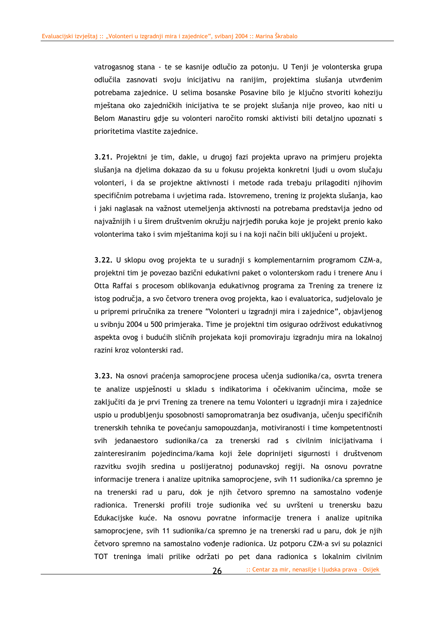vatrogasnog stana - te se kasnije odlučio za potonju. U Tenji je volonterska grupa odlučila zasnovati svoju inicijativu na ranijim, projektima slušanja utvrđenim potrebama zajednice. U selima bosanske Posavine bilo je ključno stvoriti koheziju mještana oko zajedničkih inicijativa te se projekt slušanja nije proveo, kao niti u Belom Manastiru gdje su volonteri naročito romski aktivisti bili detaljno upoznati s prioritetima vlastite zajednice.

**3.21.** Projektni je tim, dakle, u drugoj fazi projekta upravo na primjeru projekta slušanja na djelima dokazao da su u fokusu projekta konkretni ljudi u ovom slučaju volonteri, i da se projektne aktivnosti i metode rada trebaju prilagoditi njihovim specifičnim potrebama i uvjetima rada. Istovremeno, trening iz projekta slušanja, kao i jaki naglasak na važnost utemeljenja aktivnosti na potrebama predstavlja jedno od najvažnijih i u širem društvenim okružju najrjeđih poruka koje je projekt prenio kako volonterima tako i svim mještanima koji su i na koji način bili uključeni u projekt.

**3.22.** U sklopu ovog projekta te u suradnji s komplementarnim programom CZM-a, projektni tim je povezao bazični edukativni paket o volonterskom radu i trenere Anu i Otta Raffai s procesom oblikovanja edukativnog programa za Trening za trenere iz istog područja, a svo četvoro trenera ovog projekta, kao i evaluatorica, sudjelovalo je u pripremi priručnika za trenere "Volonteri u izgradnji mira i zajednice", objavljenog u svibnju 2004 u 500 primjeraka. Time je projektni tim osigurao održivost edukativnog aspekta ovog i budućih sličnih projekata koji promoviraju izgradnju mira na lokalnoj razini kroz volonterski rad.

**3.23.** Na osnovi praćenja samoprocjene procesa učenja sudionika/ca, osvrta trenera te analize uspješnosti u skladu s indikatorima i očekivanim učincima, može se zaključiti da je prvi Trening za trenere na temu Volonteri u izgradnji mira i zajednice uspio u produbljenju sposobnosti samopromatranja bez osuđivanja, učenju specifičnih trenerskih tehnika te povećanju samopouzdanja, motiviranosti i time kompetentnosti svih jedanaestoro sudionika/ca za trenerski rad s civilnim inicijativama i zainteresiranim pojedincima/kama koji žele doprinijeti sigurnosti i društvenom razvitku svojih sredina u poslijeratnoj podunavskoj regiji. Na osnovu povratne informacije trenera i analize upitnika samoprocjene, svih 11 sudionika/ca spremno je na trenerski rad u paru, dok je njih četvoro spremno na samostalno vođenje radionica. Trenerski profili troje sudionika već su uvršteni u trenersku bazu Edukacijske kuće. Na osnovu povratne informacije trenera i analize upitnika samoprocjene, svih 11 sudionika/ca spremno je na trenerski rad u paru, dok je njih četvoro spremno na samostalno vođenje radionica. Uz potporu CZM-a svi su polaznici TOT treninga imali prilike održati po pet dana radionica s lokalnim civilnim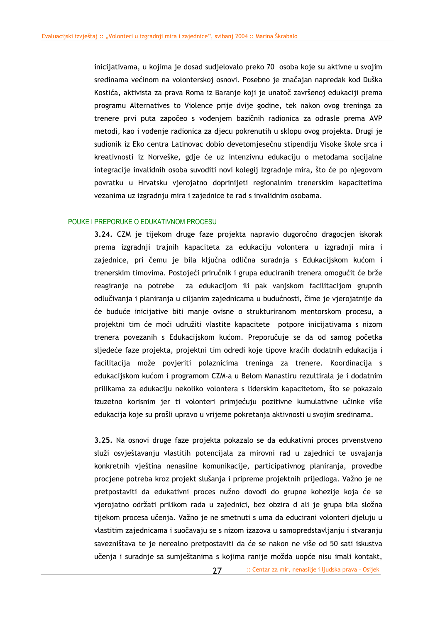inicijativama, u kojima je dosad sudjelovalo preko 70 osoba koje su aktivne u svojim sredinama većinom na volonterskoj osnovi. Posebno je značajan napredak kod Duška Kostića, aktivista za prava Roma iz Baranje koji je unatoč završenoj edukaciji prema programu Alternatives to Violence prije dvije godine, tek nakon ovog treninga za trenere prvi puta započeo s vođenjem bazičnih radionica za odrasle prema AVP metodi, kao i vođenje radionica za djecu pokrenutih u sklopu ovog projekta. Drugi je sudionik iz Eko centra Latinovac dobio devetomjesečnu stipendiju Visoke škole srca i kreativnosti iz Norveške, gdje će uz intenzivnu edukaciju o metodama socijalne integracije invalidnih osoba suvoditi novi kolegij Izgradnje mira, što će po njegovom povratku u Hrvatsku vjerojatno doprinijeti regionalnim trenerskim kapacitetima vezanima uz izgradnju mira i zajednice te rad s invalidnim osobama.

#### POUKE I PREPORUKE O EDUKATIVNOM PROCESU

**3.24.** CZM je tijekom druge faze projekta napravio dugoročno dragocjen iskorak prema izgradnji trajnih kapaciteta za edukaciju volontera u izgradnji mira i zajednice, pri čemu je bila ključna odlična suradnja s Edukacijskom kućom i trenerskim timovima. Postojeći priručnik i grupa educiranih trenera omogućit će brže reagiranje na potrebe za edukacijom ili pak vanjskom facilitacijom grupnih odlučivanja i planiranja u ciljanim zajednicama u budućnosti, čime je vjerojatnije da će buduće inicijative biti manje ovisne o strukturiranom mentorskom procesu, a projektni tim će moći udružiti vlastite kapacitete potpore inicijativama s nizom trenera povezanih s Edukacijskom kućom. Preporučuje se da od samog početka sljedeće faze projekta, projektni tim odredi koje tipove kraćih dodatnih edukacija i facilitacija može povjeriti polaznicima treninga za trenere. Koordinacija s edukacijskom kućom i programom CZM-a u Belom Manastiru rezultirala je i dodatnim prilikama za edukaciju nekoliko volontera s liderskim kapacitetom, što se pokazalo izuzetno korisnim jer ti volonteri primjećuju pozitivne kumulativne učinke više edukacija koje su prošli upravo u vrijeme pokretanja aktivnosti u svojim sredinama.

**3.25.** Na osnovi druge faze projekta pokazalo se da edukativni proces prvenstveno služi osvještavanju vlastitih potencijala za mirovni rad u zajednici te usvajanja konkretnih vještina nenasilne komunikacije, participativnog planiranja, provedbe procjene potreba kroz projekt slušanja i pripreme projektnih prijedloga. Važno je ne pretpostaviti da edukativni proces nužno dovodi do grupne kohezije koja će se vjerojatno održati prilikom rada u zajednici, bez obzira d ali je grupa bila složna tijekom procesa učenja. Važno je ne smetnuti s uma da educirani volonteri djeluju u vlastitim zajednicama i suočavaju se s nizom izazova u samopredstavljanju i stvaranju savezništava te je nerealno pretpostaviti da će se nakon ne više od 50 sati iskustva učenja i suradnje sa sumještanima s kojima ranije možda uopće nisu imali kontakt,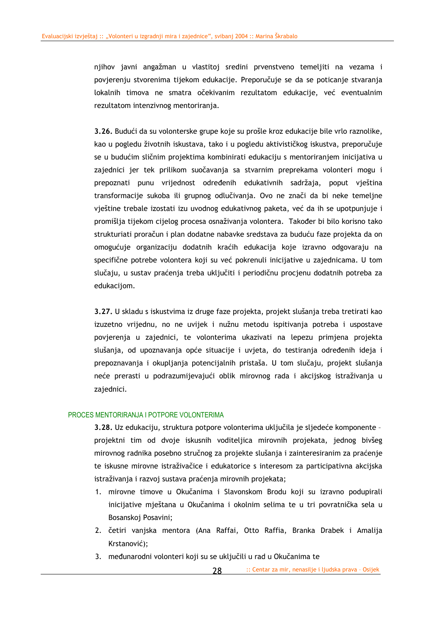njihov javni angažman u vlastitoj sredini prvenstveno temeljiti na vezama i povjerenju stvorenima tijekom edukacije. Preporučuje se da se poticanje stvaranja lokalnih timova ne smatra očekivanim rezultatom edukacije, već eventualnim rezultatom intenzivnog mentoriranja.

**3.26.** Budući da su volonterske grupe koje su prošle kroz edukacije bile vrlo raznolike, kao u pogledu životnih iskustava, tako i u pogledu aktivističkog iskustva, preporučuje se u budućim sličnim projektima kombinirati edukaciju s mentoriranjem inicijativa u zajednici jer tek prilikom suočavanja sa stvarnim preprekama volonteri mogu i prepoznati punu vrijednost određenih edukativnih sadržaja, poput vještina transformacije sukoba ili grupnog odlučivanja. Ovo ne znači da bi neke temeljne vještine trebale izostati izu uvodnog edukativnog paketa, već da ih se upotpunjuje i promišlja tijekom cijelog procesa osnaživanja volontera. Također bi bilo korisno tako strukturiati proračun i plan dodatne nabavke sredstava za buduću faze projekta da on omogućuje organizaciju dodatnih kraćih edukacija koje izravno odgovaraju na specifične potrebe volontera koji su već pokrenuli inicijative u zajednicama. U tom slučaju, u sustav praćenja treba uključiti i periodičnu procjenu dodatnih potreba za edukacijom.

**3.27.** U skladu s iskustvima iz druge faze projekta, projekt slušanja treba tretirati kao izuzetno vrijednu, no ne uvijek i nužnu metodu ispitivanja potreba i uspostave povjerenja u zajednici, te volonterima ukazivati na lepezu primjena projekta slušanja, od upoznavanja opće situacije i uvjeta, do testiranja određenih ideja i prepoznavanja i okupljanja potencijalnih pristaša. U tom slučaju, projekt slušanja neće prerasti u podrazumijevajući oblik mirovnog rada i akcijskog istraživanja u zajednici.

#### PROCES MENTORIRANJA I POTPORE VOLONTERIMA

**3.28.** Uz edukaciju, struktura potpore volonterima uključila je sljedeće komponente – projektni tim od dvoje iskusnih voditeljica mirovnih projekata, jednog bivšeg mirovnog radnika posebno stručnog za projekte slušanja i zainteresiranim za praćenje te iskusne mirovne istraživačice i edukatorice s interesom za participativna akcijska istraživanja i razvoj sustava praćenja mirovnih projekata;

- 1. mirovne timove u Okučanima i Slavonskom Brodu koji su izravno podupirali inicijative mještana u Okučanima i okolnim selima te u tri povratnička sela u Bosanskoj Posavini;
- 2. četiri vanjska mentora (Ana Raffai, Otto Raffia, Branka Drabek i Amalija Krstanović);
- 3. međunarodni volonteri koji su se uključili u rad u Okučanima te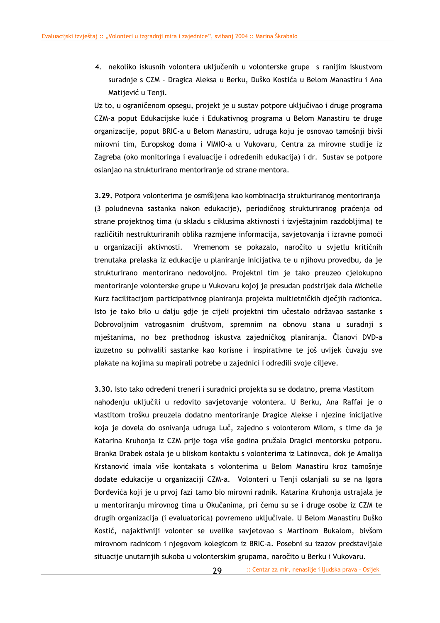4. nekoliko iskusnih volontera uključenih u volonterske grupe s ranijim iskustvom suradnje s CZM - Dragica Aleksa u Berku, Duško Kostića u Belom Manastiru i Ana Matijević u Tenji.

Uz to, u ograničenom opsegu, projekt je u sustav potpore uključivao i druge programa CZM-a poput Edukacijske kuće i Edukativnog programa u Belom Manastiru te druge organizacije, poput BRIC-a u Belom Manastiru, udruga koju je osnovao tamošnji bivši mirovni tim, Europskog doma i VIMIO-a u Vukovaru, Centra za mirovne studije iz Zagreba (oko monitoringa i evaluacije i određenih edukacija) i dr. Sustav se potpore oslanjao na strukturirano mentoriranje od strane mentora.

**3.29.** Potpora volonterima je osmišljena kao kombinacija strukturiranog mentoriranja (3 poludnevna sastanka nakon edukacije), periodičnog strukturiranog praćenja od strane projektnog tima (u skladu s ciklusima aktivnosti i izvještajnim razdobljima) te različitih nestrukturiranih oblika razmjene informacija, savjetovanja i izravne pomoći u organizaciji aktivnosti. Vremenom se pokazalo, naročito u svjetlu kritičnih trenutaka prelaska iz edukacije u planiranje inicijativa te u njihovu provedbu, da je strukturirano mentorirano nedovoljno. Projektni tim je tako preuzeo cjelokupno mentoriranje volonterske grupe u Vukovaru kojoj je presudan podstrijek dala Michelle Kurz facilitacijom participativnog planiranja projekta multietničkih dječjih radionica. Isto je tako bilo u dalju gdje je cijeli projektni tim učestalo održavao sastanke s Dobrovoljnim vatrogasnim društvom, spremnim na obnovu stana u suradnji s mještanima, no bez prethodnog iskustva zajedničkog planiranja. Članovi DVD-a izuzetno su pohvalili sastanke kao korisne i inspirativne te još uvijek čuvaju sve plakate na kojima su mapirali potrebe u zajednici i odredili svoje ciljeve.

**3.30.** Isto tako određeni treneri i suradnici projekta su se dodatno, prema vlastitom nahođenju uključili u redovito savjetovanje volontera. U Berku, Ana Raffai je o vlastitom trošku preuzela dodatno mentoriranje Dragice Alekse i njezine inicijative koja je dovela do osnivanja udruga Luč, zajedno s volonterom Milom, s time da je Katarina Kruhonja iz CZM prije toga više godina pružala Dragici mentorsku potporu. Branka Drabek ostala je u bliskom kontaktu s volonterima iz Latinovca, dok je Amalija Krstanović imala više kontakata s volonterima u Belom Manastiru kroz tamošnje dodate edukacije u organizaciji CZM-a. Volonteri u Tenji oslanjali su se na Igora Đorđevića koji je u prvoj fazi tamo bio mirovni radnik. Katarina Kruhonja ustrajala je u mentoriranju mirovnog tima u Okučanima, pri čemu su se i druge osobe iz CZM te drugih organizacija (i evaluatorica) povremeno uključivale. U Belom Manastiru Duško Kostić, najaktivniji volonter se uvelike savjetovao s Martinom Bukalom, bivšom mirovnom radnicom i njegovom kolegicom iz BRIC-a. Posebni su izazov predstavljale situacije unutarnjih sukoba u volonterskim grupama, naročito u Berku i Vukovaru.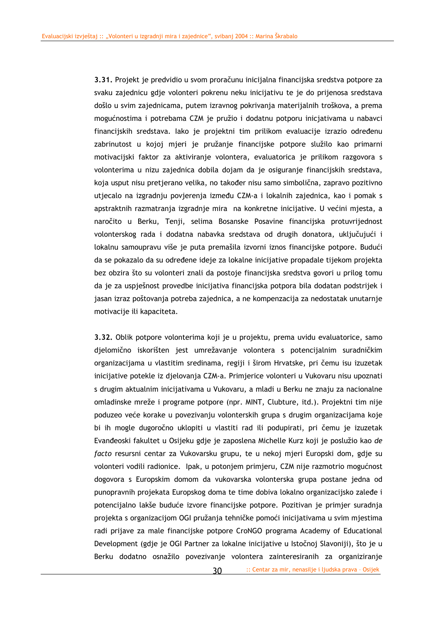**3.31.** Projekt je predvidio u svom proračunu inicijalna financijska sredstva potpore za svaku zajednicu gdje volonteri pokrenu neku inicijativu te je do prijenosa sredstava došlo u svim zajednicama, putem izravnog pokrivanja materijalnih troškova, a prema mogućnostima i potrebama CZM je pružio i dodatnu potporu inicjativama u nabavci financijskih sredstava. Iako je projektni tim prilikom evaluacije izrazio određenu zabrinutost u kojoj mjeri je pružanje financijske potpore služilo kao primarni motivacijski faktor za aktiviranje volontera, evaluatorica je prilikom razgovora s volonterima u nizu zajednica dobila dojam da je osiguranje financijskih sredstava, koja usput nisu pretjerano velika, no također nisu samo simbolična, zapravo pozitivno utjecalo na izgradnju povjerenja između CZM-a i lokalnih zajednica, kao i pomak s apstraktnih razmatranja izgradnje mira na konkretne inicijative. U većini mjesta, a naročito u Berku, Tenji, selima Bosanske Posavine financijska protuvrijednost volonterskog rada i dodatna nabavka sredstava od drugih donatora, uključujući i lokalnu samoupravu više je puta premašila izvorni iznos financijske potpore. Budući da se pokazalo da su određene ideje za lokalne inicijative propadale tijekom projekta bez obzira što su volonteri znali da postoje financijska sredstva govori u prilog tomu da je za uspješnost provedbe inicijativa financijska potpora bila dodatan podstrijek i jasan izraz poštovanja potreba zajednica, a ne kompenzacija za nedostatak unutarnje motivacije ili kapaciteta.

**3.32.** Oblik potpore volonterima koji je u projektu, prema uvidu evaluatorice, samo djelomično iskorišten jest umrežavanje volontera s potencijalnim suradničkim organizacijama u vlastitim sredinama, regiji i širom Hrvatske, pri čemu isu izuzetak inicijative potekle iz djelovanja CZM-a. Primjerice volonteri u Vukovaru nisu upoznati s drugim aktualnim inicijativama u Vukovaru, a mladi u Berku ne znaju za nacionalne omladinske mreže i programe potpore (npr. MINT, Clubture, itd.). Projektni tim nije poduzeo veće korake u povezivanju volonterskih grupa s drugim organizacijama koje bi ih mogle dugoročno uklopiti u vlastiti rad ili podupirati, pri čemu je izuzetak Evanđeoski fakultet u Osijeku gdje je zaposlena Michelle Kurz koji je poslužio kao *de facto* resursni centar za Vukovarsku grupu, te u nekoj mjeri Europski dom, gdje su volonteri vodili radionice. Ipak, u potonjem primjeru, CZM nije razmotrio mogućnost dogovora s Europskim domom da vukovarska volonterska grupa postane jedna od punopravnih projekata Europskog doma te time dobiva lokalno organizacijsko zaleđe i potencijalno lakše buduće izvore financijske potpore. Pozitivan je primjer suradnja projekta s organizacijom OGI pružanja tehničke pomoći inicijativama u svim mjestima radi prijave za male financijske potpore CroNGO programa Academy of Educational Development (gdje je OGI Partner za lokalne inicijative u Istočnoj Slavoniji), što je u Berku dodatno osnažilo povezivanje volontera zainteresiranih za organiziranje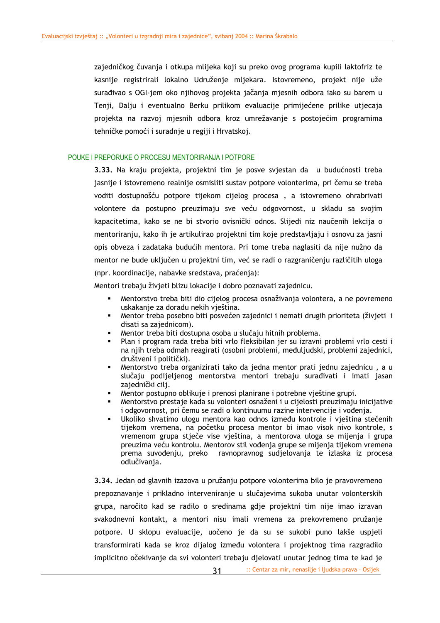zajedničkog čuvanja i otkupa mlijeka koji su preko ovog programa kupili laktofriz te kasnije registrirali lokalno Udruženje mljekara. Istovremeno, projekt nije uže surađivao s OGI-jem oko njihovog projekta jačanja mjesnih odbora iako su barem u Tenji, Dalju i eventualno Berku prilikom evaluacije primijećene prilike utjecaja projekta na razvoj mjesnih odbora kroz umrežavanje s postojećim programima tehničke pomoći i suradnje u regiji i Hrvatskoj.

#### POUKE I PREPORUKE O PROCESU MENTORIRANJA I POTPORE

**3.33.** Na kraju projekta, projektni tim je posve svjestan da u budućnosti treba jasnije i istovremeno realnije osmisliti sustav potpore volonterima, pri čemu se treba voditi dostupnošću potpore tijekom cijelog procesa , a istovremeno ohrabrivati volontere da postupno preuzimaju sve veću odgovornost, u skladu sa svojim kapacitetima, kako se ne bi stvorio ovisnički odnos. Slijedi niz naučenih lekcija o mentoriranju, kako ih je artikulirao projektni tim koje predstavljaju i osnovu za jasni opis obveza i zadataka budućih mentora. Pri tome treba naglasiti da nije nužno da mentor ne bude uključen u projektni tim, već se radi o razgraničenju različitih uloga (npr. koordinacije, nabavke sredstava, praćenja):

Mentori trebaju živjeti blizu lokacije i dobro poznavati zajednicu.

- Mentorstvo treba biti dio cijelog procesa osnaživanja volontera, a ne povremeno uskakanje za doradu nekih vještina.
- Mentor treba posebno biti posvećen zajednici i nemati drugih prioriteta (živjeti i disati sa zajednicom).
- Mentor treba biti dostupna osoba u slučaju hitnih problema.
- Plan i program rada treba biti vrlo fleksibilan jer su izravni problemi vrlo cesti i na njih treba odmah reagirati (osobni problemi, međuljudski, problemi zajednici, društveni i politički).
- Mentorstvo treba organizirati tako da jedna mentor prati jednu zajednicu , a u slučaju podijeljenog mentorstva mentori trebaju surađivati i imati jasan zajednički cilj.
- Mentor postupno oblikuje i prenosi planirane i potrebne vještine grupi.
- Mentorstvo prestaje kada su volonteri osnaženi i u cijelosti preuzimaju inicijative i odgovornost, pri čemu se radi o kontinuumu razine intervencije i vođenja.
- Ukoliko shvatimo ulogu mentora kao odnos između kontrole i vještina stečenih tijekom vremena, na početku procesa mentor bi imao visok nivo kontrole, s vremenom grupa stječe vise vještina, a mentorova uloga se mijenja i grupa preuzima veću kontrolu. Mentorov stil vođenja grupe se mijenja tijekom vremena prema suvođenju, preko ravnopravnog sudjelovanja te izlaska iz procesa odlučivanja.

**3.34.** Jedan od glavnih izazova u pružanju potpore volonterima bilo je pravovremeno prepoznavanje i prikladno interveniranje u slučajevima sukoba unutar volonterskih grupa, naročito kad se radilo o sredinama gdje projektni tim nije imao izravan svakodnevni kontakt, a mentori nisu imali vremena za prekovremeno pružanje potpore. U sklopu evaluacije, uočeno je da su se sukobi puno lakše uspjeli transformirati kada se kroz dijalog između volontera i projektnog tima razgradilo implicitno očekivanje da svi volonteri trebaju djelovati unutar jednog tima te kad je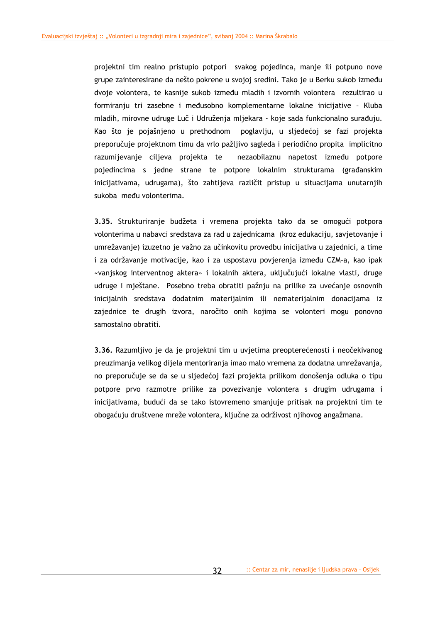projektni tim realno pristupio potpori svakog pojedinca, manje ili potpuno nove grupe zainteresirane da nešto pokrene u svojoj sredini. Tako je u Berku sukob između dvoje volontera, te kasnije sukob između mladih i izvornih volontera rezultirao u formiranju tri zasebne i međusobno komplementarne lokalne inicijative – Kluba mladih, mirovne udruge Luč i Udruženja mljekara - koje sada funkcionalno surađuju. Kao što je pojašnjeno u prethodnom poglavlju, u sljedećoj se fazi projekta preporučuje projektnom timu da vrlo pažljivo sagleda i periodično propita implicitno razumijevanje ciljeva projekta te nezaobilaznu napetost između potpore pojedincima s jedne strane te potpore lokalnim strukturama (građanskim inicijativama, udrugama), što zahtijeva različit pristup u situacijama unutarnjih sukoba među volonterima.

**3.35.** Strukturiranje budžeta i vremena projekta tako da se omogući potpora volonterima u nabavci sredstava za rad u zajednicama (kroz edukaciju, savjetovanje i umrežavanje) izuzetno je važno za učinkovitu provedbu inicijativa u zajednici, a time i za održavanje motivacije, kao i za uspostavu povjerenja između CZM-a, kao ipak «vanjskog interventnog aktera» i lokalnih aktera, uključujući lokalne vlasti, druge udruge i mještane. Posebno treba obratiti pažnju na prilike za uvećanje osnovnih inicijalnih sredstava dodatnim materijalnim ili nematerijalnim donacijama iz zajednice te drugih izvora, naročito onih kojima se volonteri mogu ponovno samostalno obratiti.

**3.36.** Razumljivo je da je projektni tim u uvjetima preopterećenosti i neočekivanog preuzimanja velikog dijela mentoriranja imao malo vremena za dodatna umrežavanja, no preporučuje se da se u sljedećoj fazi projekta prilikom donošenja odluka o tipu potpore prvo razmotre prilike za povezivanje volontera s drugim udrugama i inicijativama, budući da se tako istovremeno smanjuje pritisak na projektni tim te obogaćuju društvene mreže volontera, ključne za održivost njihovog angažmana.

32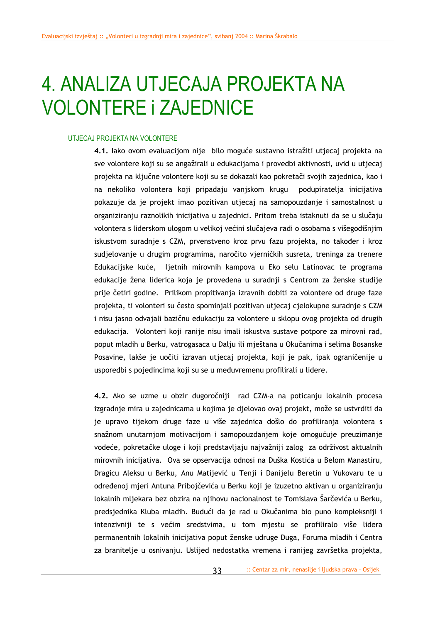## 4. ANALIZA UTJECAJA PROJEKTA NA VOLONTERE i ZAJEDNICE

#### UTJECAJ PROJEKTA NA VOLONTERE

**4.1.** Iako ovom evaluacijom nije bilo moguće sustavno istražiti utjecaj projekta na sve volontere koji su se angažirali u edukacijama i provedbi aktivnosti, uvid u utjecaj projekta na ključne volontere koji su se dokazali kao pokretači svojih zajednica, kao i na nekoliko volontera koji pripadaju vanjskom krugu podupiratelja inicijativa pokazuje da je projekt imao pozitivan utjecaj na samopouzdanje i samostalnost u organiziranju raznolikih inicijativa u zajednici. Pritom treba istaknuti da se u slučaju volontera s liderskom ulogom u velikoj većini slučajeva radi o osobama s višegodišnjim iskustvom suradnje s CZM, prvenstveno kroz prvu fazu projekta, no također i kroz sudjelovanje u drugim programima, naročito vjerničkih susreta, treninga za trenere Edukacijske kuće, ljetnih mirovnih kampova u Eko selu Latinovac te programa edukacije žena liderica koja je provedena u suradnji s Centrom za ženske studije prije četiri godine. Prilikom propitivanja izravnih dobiti za volontere od druge faze projekta, ti volonteri su često spominjali pozitivan utjecaj cjelokupne suradnje s CZM i nisu jasno odvajali bazičnu edukaciju za volontere u sklopu ovog projekta od drugih edukacija. Volonteri koji ranije nisu imali iskustva sustave potpore za mirovni rad, poput mladih u Berku, vatrogasaca u Dalju ili mještana u Okučanima i selima Bosanske Posavine, lakše je uočiti izravan utjecaj projekta, koji je pak, ipak ograničenije u usporedbi s pojedincima koji su se u međuvremenu profilirali u lidere.

**4.2.** Ako se uzme u obzir dugoročniji rad CZM-a na poticanju lokalnih procesa izgradnje mira u zajednicama u kojima je djelovao ovaj projekt, može se ustvrditi da je upravo tijekom druge faze u više zajednica došlo do profiliranja volontera s snažnom unutarnjom motivacijom i samopouzdanjem koje omogućuje preuzimanje vodeće, pokretačke uloge i koji predstavljaju najvažniji zalog za održivost aktualnih mirovnih inicijativa. Ova se opservacija odnosi na Duška Kostića u Belom Manastiru, Dragicu Aleksu u Berku, Anu Matijević u Tenji i Danijelu Beretin u Vukovaru te u određenoj mjeri Antuna Pribojčevića u Berku koji je izuzetno aktivan u organiziranju lokalnih mljekara bez obzira na njihovu nacionalnost te Tomislava Šarčevića u Berku, predsjednika Kluba mladih. Budući da je rad u Okučanima bio puno kompleksniji i intenzivniji te s većim sredstvima, u tom mjestu se profiliralo više lidera permanentnih lokalnih inicijativa poput ženske udruge Duga, Foruma mladih i Centra za branitelje u osnivanju. Uslijed nedostatka vremena i ranijeg završetka projekta,

33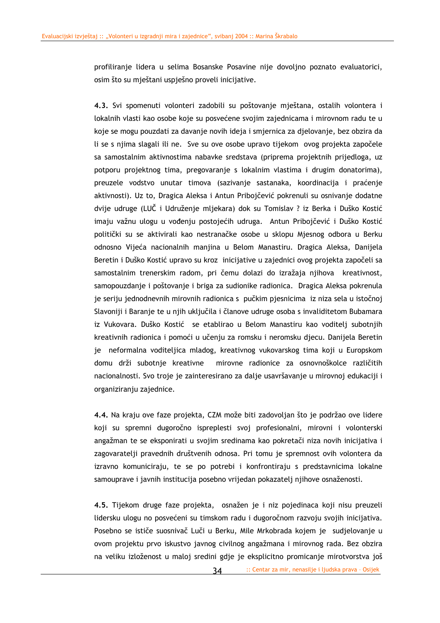profiliranje lidera u selima Bosanske Posavine nije dovoljno poznato evaluatorici, osim što su mještani uspješno proveli inicijative.

**4.3.** Svi spomenuti volonteri zadobili su poštovanje mještana, ostalih volontera i lokalnih vlasti kao osobe koje su posvećene svojim zajednicama i mirovnom radu te u koje se mogu pouzdati za davanje novih ideja i smjernica za djelovanje, bez obzira da li se s njima slagali ili ne. Sve su ove osobe upravo tijekom ovog projekta započele sa samostalnim aktivnostima nabavke sredstava (priprema projektnih prijedloga, uz potporu projektnog tima, pregovaranje s lokalnim vlastima i drugim donatorima), preuzele vodstvo unutar timova (sazivanje sastanaka, koordinacija i praćenje aktivnosti). Uz to, Dragica Aleksa i Antun Pribojčević pokrenuli su osnivanje dodatne dvije udruge (LUČ i Udruženje mljekara) dok su Tomislav ? iz Berka i Duško Kostić imaju važnu ulogu u vođenju postojećih udruga. Antun Pribojčević i Duško Kostić politički su se aktivirali kao nestranačke osobe u sklopu Mjesnog odbora u Berku odnosno Vijeća nacionalnih manjina u Belom Manastiru. Dragica Aleksa, Danijela Beretin i Duško Kostić upravo su kroz inicijative u zajednici ovog projekta započeli sa samostalnim trenerskim radom, pri čemu dolazi do izražaja njihova kreativnost, samopouzdanje i poštovanje i briga za sudionike radionica. Dragica Aleksa pokrenula je seriju jednodnevnih mirovnih radionica s pučkim pjesnicima iz niza sela u istočnoj Slavoniji i Baranje te u njih uključila i članove udruge osoba s invaliditetom Bubamara iz Vukovara. Duško Kostić se etablirao u Belom Manastiru kao voditelj subotnjih kreativnih radionica i pomoći u učenju za romsku i neromsku djecu. Danijela Beretin je neformalna voditeljica mladog, kreativnog vukovarskog tima koji u Europskom domu drži subotnje kreativne mirovne radionice za osnovnoškolce različitih nacionalnosti. Svo troje je zainteresirano za dalje usavršavanje u mirovnoj edukaciji i organiziranju zajednice.

**4.4.** Na kraju ove faze projekta, CZM može biti zadovoljan što je podržao ove lidere koji su spremni dugoročno ispreplesti svoj profesionalni, mirovni i volonterski angažman te se eksponirati u svojim sredinama kao pokretači niza novih inicijativa i zagovaratelji pravednih društvenih odnosa. Pri tomu je spremnost ovih volontera da izravno komuniciraju, te se po potrebi i konfrontiraju s predstavnicima lokalne samouprave i javnih institucija posebno vrijedan pokazatelj njihove osnaženosti.

**4.5.** Tijekom druge faze projekta, osnažen je i niz pojedinaca koji nisu preuzeli lidersku ulogu no posvećeni su timskom radu i dugoročnom razvoju svojih inicijativa. Posebno se ističe suosnivač Luči u Berku, Mile Mrkobrada kojem je sudjelovanje u ovom projektu prvo iskustvo javnog civilnog angažmana i mirovnog rada. Bez obzira na veliku izloženost u maloj sredini gdje je eksplicitno promicanje mirotvorstva još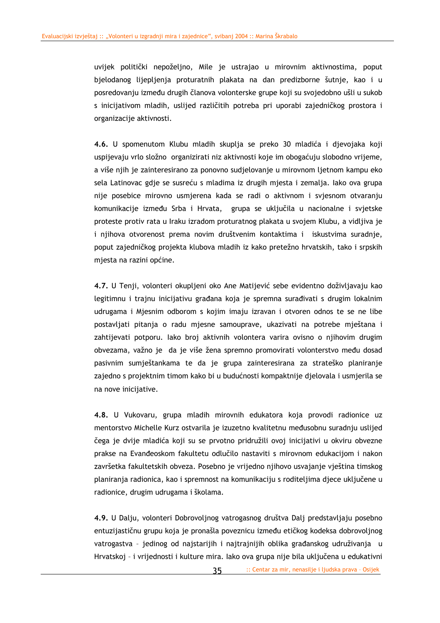uvijek politički nepoželjno, Mile je ustrajao u mirovnim aktivnostima, poput bjelodanog lijepljenja proturatnih plakata na dan predizborne šutnje, kao i u posredovanju između drugih članova volonterske grupe koji su svojedobno ušli u sukob s inicijativom mladih, uslijed različitih potreba pri uporabi zajedničkog prostora i organizacije aktivnosti.

**4.6.** U spomenutom Klubu mladih skuplja se preko 30 mladića i djevojaka koji uspijevaju vrlo složno organizirati niz aktivnosti koje im obogaćuju slobodno vrijeme, a više njih je zainteresirano za ponovno sudjelovanje u mirovnom ljetnom kampu eko sela Latinovac gdje se susreću s mladima iz drugih mjesta i zemalja. Iako ova grupa nije posebice mirovno usmjerena kada se radi o aktivnom i svjesnom otvaranju komunikacije između Srba i Hrvata, grupa se uključila u nacionalne i svjetske proteste protiv rata u Iraku izradom proturatnog plakata u svojem Klubu, a vidljiva je i njihova otvorenost prema novim društvenim kontaktima i iskustvima suradnje, poput zajedničkog projekta klubova mladih iz kako pretežno hrvatskih, tako i srpskih mjesta na razini općine.

**4.7.** U Tenji, volonteri okupljeni oko Ane Matijević sebe evidentno doživljavaju kao legitimnu i trajnu inicijativu građana koja je spremna surađivati s drugim lokalnim udrugama i Mjesnim odborom s kojim imaju izravan i otvoren odnos te se ne libe postavljati pitanja o radu mjesne samouprave, ukazivati na potrebe mještana i zahtijevati potporu. Iako broj aktivnih volontera varira ovisno o njihovim drugim obvezama, važno je da je više žena spremno promovirati volonterstvo među dosad pasivnim sumještankama te da je grupa zainteresirana za strateško planiranje zajedno s projektnim timom kako bi u budućnosti kompaktnije djelovala i usmjerila se na nove inicijative.

**4.8.** U Vukovaru, grupa mladih mirovnih edukatora koja provodi radionice uz mentorstvo Michelle Kurz ostvarila je izuzetno kvalitetnu međusobnu suradnju uslijed čega je dvije mladića koji su se prvotno pridružili ovoj inicijativi u okviru obvezne prakse na Evanđeoskom fakultetu odlučilo nastaviti s mirovnom edukacijom i nakon završetka fakultetskih obveza. Posebno je vrijedno njihovo usvajanje vještina timskog planiranja radionica, kao i spremnost na komunikaciju s roditeljima djece uključene u radionice, drugim udrugama i školama.

**4.9.** U Dalju, volonteri Dobrovoljnog vatrogasnog društva Dalj predstavljaju posebno entuzijastičnu grupu koja je pronašla poveznicu između etičkog kodeksa dobrovoljnog vatrogastva – jedinog od najstarijih i najtrajnijih oblika građanskog udruživanja u Hrvatskoj – i vrijednosti i kulture mira. Iako ova grupa nije bila uključena u edukativni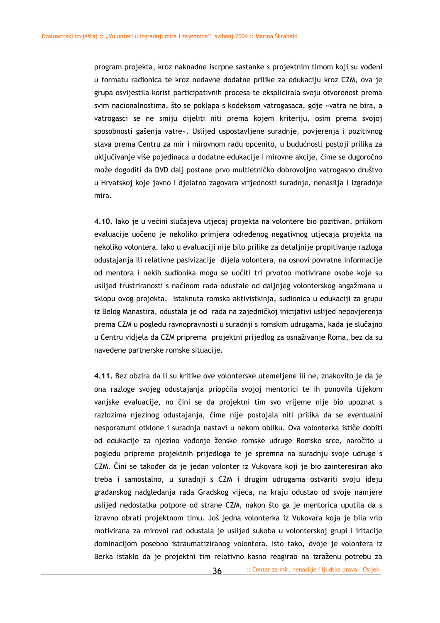program projekta, kroz naknadne iscrpne sastanke s projektnim timom koji su vođeni u formatu radionica te kroz nedavne dodatne prilike za edukaciju kroz CZM, ova je grupa osvijestila korist participativnih procesa te eksplicirala svoju otvorenost prema svim nacionalnostima, što se poklapa s kodeksom vatrogasaca, gdje «vatra ne bira, a vatrogasci se ne smiju dijeliti niti prema kojem kriteriju, osim prema svojoj sposobnosti gašenja vatre». Uslijed uspostavljene suradnje, povjerenja i pozitivnog stava prema Centru za mir i mirovnom radu općenito, u budućnosti postoji prilika za uključivanje više pojedinaca u dodatne edukacije i mirovne akcije, čime se dugoročno može dogoditi da DVD dalj postane prvo multietničko dobrovoljno vatrogasno društvo u Hrvatskoj koje javno i djelatno zagovara vrijednosti suradnje, nenasilja i izgradnje mira.

**4.10.** Iako je u većini slučajeva utjecaj projekta na volontere bio pozitivan, prilikom evaluacije uočeno je nekoliko primjera određenog negativnog utjecaja projekta na nekoliko volontera. Iako u evaluaciji nije bilo prilike za detaljnije propitivanje razloga odustajanja ili relativne pasivizacije dijela volontera, na osnovi povratne informacije od mentora i nekih sudionika mogu se uočiti tri prvotno motivirane osobe koje su uslijed frustriranosti s načinom rada odustale od daljnjeg volonterskog angažmana u sklopu ovog projekta. Istaknuta romska aktivistkinja, sudionica u edukaciji za grupu iz Belog Manastira, odustala je od rada na zajedničkoj inicijativi uslijed nepovjerenja prema CZM u pogledu ravnopravnosti u suradnji s romskim udrugama, kada je slučajno u Centru vidjela da CZM priprema projektni prijedlog za osnaživanje Roma, bez da su navedene partnerske romske situacije.

**4.11.** Bez obzira da li su kritike ove volonterske utemeljene ili ne, znakovito je da je ona razloge svojeg odustajanja priopćila svojoj mentorici te ih ponovila tijekom vanjske evaluacije, no čini se da projektni tim svo vrijeme nije bio upoznat s razlozima njezinog odustajanja, čime nije postojala niti prilika da se eventualni nesporazumi otklone i suradnja nastavi u nekom obliku. Ova volonterka ističe dobiti od edukacije za njezino vođenje ženske romske udruge Romsko srce, naročito u pogledu pripreme projektnih prijedloga te je spremna na suradnju svoje udruge s CZM. Čini se također da je jedan volonter iz Vukovara koji je bio zainteresiran ako treba i samostalno, u suradnji s CZM i drugim udrugama ostvariti svoju ideju građanskog nadgledanja rada Gradskog vijeća, na kraju odustao od svoje namjere uslijed nedostatka potpore od strane CZM, nakon što ga je mentorica uputila da s izravno obrati projektnom timu. Još jedna volonterka iz Vukovara koja je bila vrlo motivirana za mirovni rad odustala je uslijed sukoba u volonterskoj grupi i iritacije dominacijom posebno istraumatiziranog volontera. Isto tako, dvoje je volontera iz Berka istaklo da je projektni tim relativno kasno reagirao na izraženu potrebu za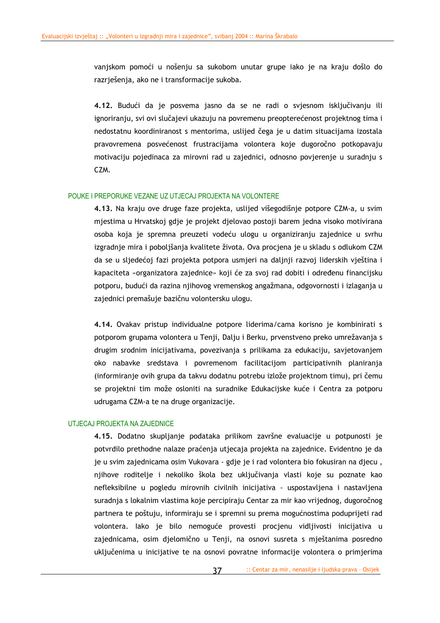vanjskom pomoći u nošenju sa sukobom unutar grupe iako je na kraju došlo do razrješenja, ako ne i transformacije sukoba.

**4.12.** Budući da je posvema jasno da se ne radi o svjesnom isključivanju ili ignoriranju, svi ovi slučajevi ukazuju na povremenu preopterećenost projektnog tima i nedostatnu koordiniranost s mentorima, uslijed čega je u datim situacijama izostala pravovremena posvećenost frustracijama volontera koje dugoročno potkopavaju motivaciju pojedinaca za mirovni rad u zajednici, odnosno povjerenje u suradnju s CZM.

#### POUKE I PREPORUKE VEZANE UZ UTJECAJ PROJEKTA NA VOLONTERE

**4.13.** Na kraju ove druge faze projekta, uslijed višegodišnje potpore CZM-a, u svim mjestima u Hrvatskoj gdje je projekt djelovao postoji barem jedna visoko motivirana osoba koja je spremna preuzeti vodeću ulogu u organiziranju zajednice u svrhu izgradnje mira i poboljšanja kvalitete života. Ova procjena je u skladu s odlukom CZM da se u sljedećoj fazi projekta potpora usmjeri na daljnji razvoj liderskih vještina i kapaciteta «organizatora zajednice» koji će za svoj rad dobiti i određenu financijsku potporu, budući da razina njihovog vremenskog angažmana, odgovornosti i izlaganja u zajednici premašuje bazičnu volontersku ulogu.

**4.14.** Ovakav pristup individualne potpore liderima/cama korisno je kombinirati s potporom grupama volontera u Tenji, Dalju i Berku, prvenstveno preko umrežavanja s drugim srodnim inicijativama, povezivanja s prilikama za edukaciju, savjetovanjem oko nabavke sredstava i povremenom facilitacijom participativnih planiranja (informiranje ovih grupa da takvu dodatnu potrebu izlože projektnom timu), pri čemu se projektni tim može osloniti na suradnike Edukacijske kuće i Centra za potporu udrugama CZM-a te na druge organizacije.

#### UTJECAJ PROJEKTA NA ZAJEDNICE

**4.15.** Dodatno skupljanje podataka prilikom završne evaluacije u potpunosti je potvrdilo prethodne nalaze praćenja utjecaja projekta na zajednice. Evidentno je da je u svim zajednicama osim Vukovara - gdje je i rad volontera bio fokusiran na djecu , njihove roditelje i nekoliko škola bez uključivanja vlasti koje su poznate kao nefleksibilne u pogledu mirovnih civilnih inicijativa - uspostavljena i nastavljena suradnja s lokalnim vlastima koje percipiraju Centar za mir kao vrijednog, dugoročnog partnera te poštuju, informiraju se i spremni su prema mogućnostima poduprijeti rad volontera. Iako je bilo nemoguće provesti procjenu vidljivosti inicijativa u zajednicama, osim djelomično u Tenji, na osnovi susreta s mještanima posredno uključenima u inicijative te na osnovi povratne informacije volontera o primjerima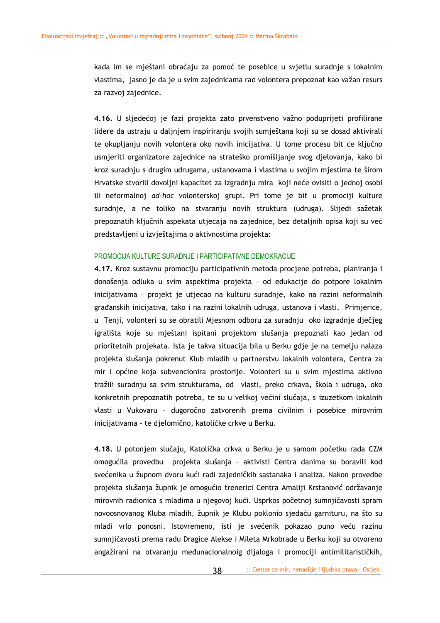kada im se mještani obraćaju za pomoć te posebice u svjetlu suradnje s lokalnim vlastima, jasno je da je u svim zajednicama rad volontera prepoznat kao važan resurs za razvoj zajednice.

**4.16.** U sljedećoj je fazi projekta zato prvenstveno važno poduprijeti profilirane lidere da ustraju u daljnjem inspiriranju svojih sumještana koji su se dosad aktivirali te okupljanju novih volontera oko novih inicijativa. U tome procesu bit će ključno usmjeriti organizatore zajednice na strateško promišljanje svog djelovanja, kako bi kroz suradnju s drugim udrugama, ustanovama i vlastima u svojim mjestima te širom Hrvatske stvorili dovoljni kapacitet za izgradnju mira koji neće ovisiti o jednoj osobi ili neformalnoj *ad-hoc* volonterskoj grupi. Pri tome je bit u promociji kulture suradnje, a ne toliko na stvaranju novih struktura (udruga). Slijedi sažetak prepoznatih ključnih aspekata utjecaja na zajednice, bez detaljnih opisa koji su već predstavljeni u izvještajima o aktivnostima projekta:

#### PROMOCIJA KULTURE SURADNJE I PARTICIPATIVNE DEMOKRACIJE

**4.17.** Kroz sustavnu promociju participativnih metoda procjene potreba, planiranja i donošenja odluka u svim aspektima projekta – od edukacije do potpore lokalnim inicijativama – projekt je utjecao na kulturu suradnje, kako na razini neformalnih građanskih inicijativa, tako i na razini lokalnih udruga, ustanova i vlasti. Primjerice, u Tenji, volonteri su se obratili Mjesnom odboru za suradnju oko izgradnje dječjeg igrališta koje su mještani ispitani projektom slušanja prepoznali kao jedan od prioritetnih projekata. Ista je takva situacija bila u Berku gdje je na temelju nalaza projekta slušanja pokrenut Klub mladih u partnerstvu lokalnih volontera, Centra za mir i općine koja subvencionira prostorije. Volonteri su u svim mjestima aktivno tražili suradnju sa svim strukturama, od vlasti, preko crkava, škola i udruga, oko konkretnih prepoznatih potreba, te su u velikoj većini slučaja, s izuzetkom lokalnih vlasti u Vukovaru – dugoročno zatvorenih prema civilnim i posebice mirovnim inicijativama - te djelomično, katoličke crkve u Berku.

**4.18.** U potonjem slučaju, Katolička crkva u Berku je u samom početku rada CZM omogućila provedbu projekta slušanja – aktivisti Centra danima su boravili kod svećenika u župnom dvoru kući radi zajedničkih sastanaka i analiza. Nakon provedbe projekta slušanja župnik je omogućio trenerici Centra Amaliji Krstanović održavanje mirovnih radionica s mladima u njegovoj kući. Usprkos početnoj sumnjičavosti spram novoosnovanog Kluba mladih, župnik je Klubu poklonio sjedaću garnituru, na što su mladi vrlo ponosni. Istovremeno, isti je svećenik pokazao puno veću razinu sumnjičavosti prema radu Dragice Alekse i Mileta Mrkobrade u Berku koji su otvoreno angažirani na otvaranju međunacionalnoig dijaloga i promociji antimilitarističkih,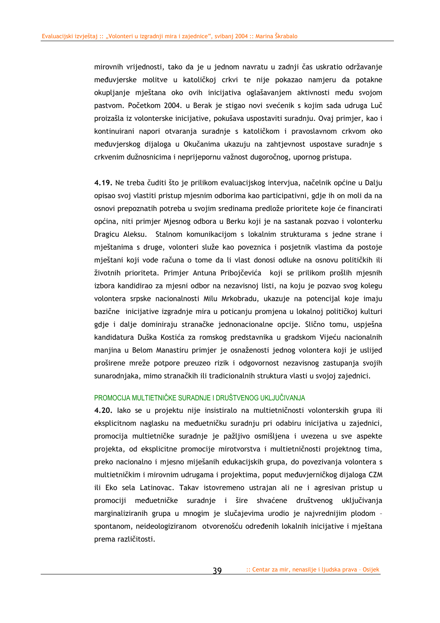mirovnih vrijednosti, tako da je u jednom navratu u zadnji čas uskratio održavanje međuvjerske molitve u katoličkoj crkvi te nije pokazao namjeru da potakne okupljanje mještana oko ovih inicijativa oglašavanjem aktivnosti među svojom pastvom. Početkom 2004. u Berak je stigao novi svećenik s kojim sada udruga Luč proizašla iz volonterske inicijative, pokušava uspostaviti suradnju. Ovaj primjer, kao i kontinuirani napori otvaranja suradnje s katoličkom i pravoslavnom crkvom oko međuvjerskog dijaloga u Okučanima ukazuju na zahtjevnost uspostave suradnje s crkvenim dužnosnicima i neprijepornu važnost dugoročnog, upornog pristupa.

**4.19.** Ne treba čuditi što je prilikom evaluacijskog intervjua, načelnik općine u Dalju opisao svoj vlastiti pristup mjesnim odborima kao participativni, gdje ih on moli da na osnovi prepoznatih potreba u svojim sredinama predlože prioritete koje će financirati općina, niti primjer Mjesnog odbora u Berku koji je na sastanak pozvao i volonterku Dragicu Aleksu. Stalnom komunikacijom s lokalnim strukturama s jedne strane i mještanima s druge, volonteri služe kao poveznica i posjetnik vlastima da postoje mještani koji vode računa o tome da li vlast donosi odluke na osnovu političkih ili životnih prioriteta. Primjer Antuna Pribojčevića koji se prilikom prošlih mjesnih izbora kandidirao za mjesni odbor na nezavisnoj listi, na koju je pozvao svog kolegu volontera srpske nacionalnosti Milu Mrkobradu, ukazuje na potencijal koje imaju bazične inicijative izgradnje mira u poticanju promjena u lokalnoj političkoj kulturi gdje i dalje dominiraju stranačke jednonacionalne opcije. Slično tomu, uspješna kandidatura Duška Kostića za romskog predstavnika u gradskom Vijeću nacionalnih manjina u Belom Manastiru primjer je osnaženosti jednog volontera koji je uslijed proširene mreže potpore preuzeo rizik i odgovornost nezavisnog zastupanja svojih sunarodnjaka, mimo stranačkih ili tradicionalnih struktura vlasti u svojoj zajednici.

#### PROMOCIJA MULTIETNIČKE SURADNJE I DRUŠTVENOG UKLJUČIVANJA

**4.20.** Iako se u projektu nije insistiralo na multietničnosti volonterskih grupa ili eksplicitnom naglasku na međuetničku suradnju pri odabiru inicijativa u zajednici, promocija multietničke suradnje je pažljivo osmišljena i uvezena u sve aspekte projekta, od eksplicitne promocije mirotvorstva i multietničnosti projektnog tima, preko nacionalno i mjesno miješanih edukacijskih grupa, do povezivanja volontera s multietničkim i mirovnim udrugama i projektima, poput međuvjerničkog dijaloga CZM ili Eko sela Latinovac. Takav istovremeno ustrajan ali ne i agresivan pristup u promociji međuetničke suradnje i šire shvaćene društvenog uključivanja marginaliziranih grupa u mnogim je slučajevima urodio je najvrednijim plodom – spontanom, neideologiziranom otvorenošću određenih lokalnih inicijative i mještana prema različitosti.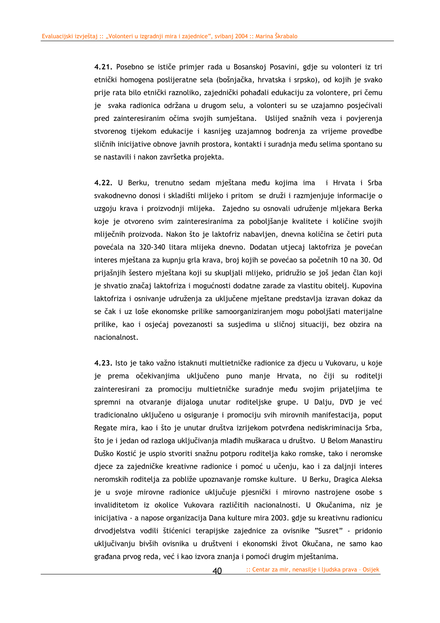**4.21.** Posebno se ističe primjer rada u Bosanskoj Posavini, gdje su volonteri iz tri etnički homogena poslijeratne sela (bošnjačka, hrvatska i srpsko), od kojih je svako prije rata bilo etnički raznoliko, zajednički pohađali edukaciju za volontere, pri čemu je svaka radionica održana u drugom selu, a volonteri su se uzajamno posjećivali pred zainteresiranim očima svojih sumještana. Uslijed snažnih veza i povjerenja stvorenog tijekom edukacije i kasnijeg uzajamnog bodrenja za vrijeme provedbe sličnih inicijative obnove javnih prostora, kontakti i suradnja među selima spontano su se nastavili i nakon završetka projekta.

**4.22.** U Berku, trenutno sedam mještana među kojima ima i Hrvata i Srba svakodnevno donosi i skladišti mlijeko i pritom se druži i razmjenjuje informacije o uzgoju krava i proizvodnji mlijeka. Zajedno su osnovali udruženje mljekara Berka koje je otvoreno svim zainteresiranima za poboljšanje kvalitete i količine svojih mliječnih proizvoda. Nakon što je laktofriz nabavljen, dnevna količina se četiri puta povećala na 320-340 litara mlijeka dnevno. Dodatan utjecaj laktofriza je povećan interes mještana za kupnju grla krava, broj kojih se povećao sa početnih 10 na 30. Od prijašnjih šestero mještana koji su skupljali mlijeko, pridružio se još jedan član koji je shvatio značaj laktofriza i mogućnosti dodatne zarade za vlastitu obitelj. Kupovina laktofriza i osnivanje udruženja za uključene mještane predstavlja izravan dokaz da se čak i uz loše ekonomske prilike samoorganiziranjem mogu poboljšati materijalne prilike, kao i osjećaj povezanosti sa susjedima u sličnoj situaciji, bez obzira na nacionalnost.

**4.23.** Isto je tako važno istaknuti multietničke radionice za djecu u Vukovaru, u koje je prema očekivanjima uključeno puno manje Hrvata, no čiji su roditelji zainteresirani za promociju multietničke suradnje među svojim prijateljima te spremni na otvaranje dijaloga unutar roditeljske grupe. U Dalju, DVD je već tradicionalno uključeno u osiguranje i promociju svih mirovnih manifestacija, poput Regate mira, kao i što je unutar društva izrijekom potvrđena nediskriminacija Srba, što je i jedan od razloga uključivanja mlađih muškaraca u društvo. U Belom Manastiru Duško Kostić je uspio stvoriti snažnu potporu roditelja kako romske, tako i neromske djece za zajedničke kreativne radionice i pomoć u učenju, kao i za daljnji interes neromskih roditelja za pobliže upoznavanje romske kulture. U Berku, Dragica Aleksa je u svoje mirovne radionice uključuje pjesnički i mirovno nastrojene osobe s invaliditetom iz okolice Vukovara različitih nacionalnosti. U Okučanima, niz je inicijativa - a napose organizacija Dana kulture mira 2003. gdje su kreativnu radionicu drvodjelstva vodili štićenici terapijske zajednice za ovisnike "Susret" - pridonio uključivanju bivših ovisnika u društveni i ekonomski život Okučana, ne samo kao građana prvog reda, već i kao izvora znanja i pomoći drugim mještanima.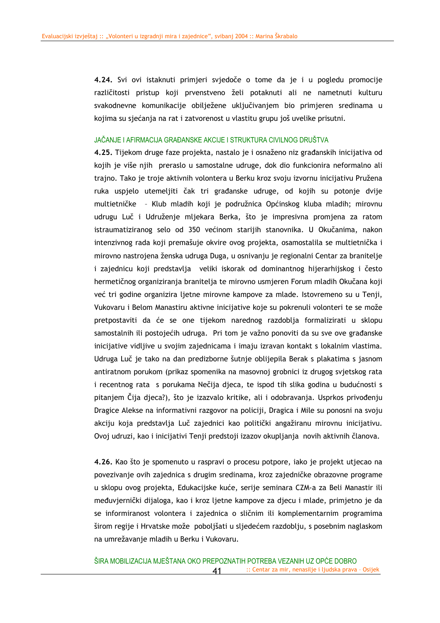**4.24.** Svi ovi istaknuti primjeri svjedoče o tome da je i u pogledu promocije različitosti pristup koji prvenstveno želi potaknuti ali ne nametnuti kulturu svakodnevne komunikacije obilježene uključivanjem bio primjeren sredinama u kojima su sjećanja na rat i zatvorenost u vlastitu grupu još uvelike prisutni.

#### JAČANJE I AFIRMACIJA GRAĐANSKE AKCIJE I STRUKTURA CIVILNOG DRUŠTVA

**4.25.** Tijekom druge faze projekta, nastalo je i osnaženo niz građanskih inicijativa od kojih je više njih preraslo u samostalne udruge, dok dio funkcionira neformalno ali trajno. Tako je troje aktivnih volontera u Berku kroz svoju izvornu inicijativu Pružena ruka uspjelo utemeljiti čak tri građanske udruge, od kojih su potonje dvije multietničke – Klub mladih koji je podružnica Općinskog kluba mladih; mirovnu udrugu Luč i Udruženje mljekara Berka, što je impresivna promjena za ratom istraumatiziranog selo od 350 većinom starijih stanovnika. U Okučanima, nakon intenzivnog rada koji premašuje okvire ovog projekta, osamostalila se multietnička i mirovno nastrojena ženska udruga Duga, u osnivanju je regionalni Centar za branitelje i zajednicu koji predstavlja veliki iskorak od dominantnog hijerarhijskog i često hermetičnog organiziranja branitelja te mirovno usmjeren Forum mladih Okučana koji već tri godine organizira ljetne mirovne kampove za mlade. Istovremeno su u Tenji, Vukovaru i Belom Manastiru aktivne inicijative koje su pokrenuli volonteri te se može pretpostaviti da će se one tijekom narednog razdoblja formalizirati u sklopu samostalnih ili postojećih udruga. Pri tom je važno ponoviti da su sve ove građanske inicijative vidljive u svojim zajednicama i imaju izravan kontakt s lokalnim vlastima. Udruga Luč je tako na dan predizborne šutnje oblijepila Berak s plakatima s jasnom antiratnom porukom (prikaz spomenika na masovnoj grobnici iz drugog svjetskog rata i recentnog rata s porukama Nečija djeca, te ispod tih slika godina u budućnosti s pitanjem Čija djeca?), što je izazvalo kritike, ali i odobravanja. Usprkos privođenju Dragice Alekse na informativni razgovor na policiji, Dragica i Mile su ponosni na svoju akciju koja predstavlja Luč zajednici kao politički angažiranu mirovnu inicijativu. Ovoj udruzi, kao i inicijativi Tenji predstoji izazov okupljanja novih aktivnih članova.

**4.26.** Kao što je spomenuto u raspravi o procesu potpore, iako je projekt utjecao na povezivanje ovih zajednica s drugim sredinama, kroz zajedničke obrazovne programe u sklopu ovog projekta, Edukacijske kuće, serije seminara CZM-a za Beli Manastir ili međuvjernički dijaloga, kao i kroz ljetne kampove za djecu i mlade, primjetno je da se informiranost volontera i zajednica o sličnim ili komplementarnim programima širom regije i Hrvatske može poboljšati u sljedećem razdoblju, s posebnim naglaskom na umrežavanje mladih u Berku i Vukovaru.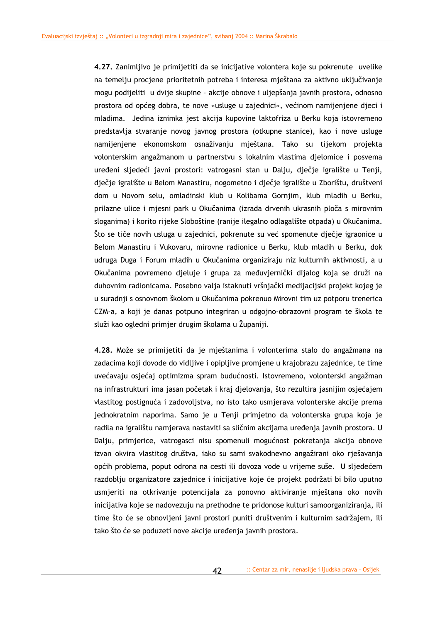**4.27.** Zanimljivo je primijetiti da se inicijative volontera koje su pokrenute uvelike na temelju procjene prioritetnih potreba i interesa mještana za aktivno uključivanje mogu podijeliti u dvije skupine – akcije obnove i uljepšanja javnih prostora, odnosno prostora od općeg dobra, te nove «usluge u zajednici», većinom namijenjene djeci i mladima. Jedina iznimka jest akcija kupovine laktofriza u Berku koja istovremeno predstavlja stvaranje novog javnog prostora (otkupne stanice), kao i nove usluge namijenjene ekonomskom osnaživanju mještana. Tako su tijekom projekta volonterskim angažmanom u partnerstvu s lokalnim vlastima djelomice i posvema uređeni sljedeći javni prostori: vatrogasni stan u Dalju, dječje igralište u Tenji, dječje igralište u Belom Manastiru, nogometno i dječje igralište u Zborištu, društveni dom u Novom selu, omladinski klub u Kolibama Gornjim, klub mladih u Berku, prilazne ulice i mjesni park u Okučanima (izrada drvenih ukrasnih ploča s mirovnim sloganima) i korito rijeke Sloboštine (ranije ilegalno odlagalište otpada) u Okučanima. Što se tiče novih usluga u zajednici, pokrenute su već spomenute dječje igraonice u Belom Manastiru i Vukovaru, mirovne radionice u Berku, klub mladih u Berku, dok udruga Duga i Forum mladih u Okučanima organiziraju niz kulturnih aktivnosti, a u Okučanima povremeno djeluje i grupa za međuvjernički dijalog koja se druži na duhovnim radionicama. Posebno valja istaknuti vršnjački medijacijski projekt kojeg je u suradnji s osnovnom školom u Okučanima pokrenuo Mirovni tim uz potporu trenerica CZM-a, a koji je danas potpuno integriran u odgojno-obrazovni program te škola te služi kao ogledni primjer drugim školama u Županiji.

**4.28.** Može se primijetiti da je mještanima i volonterima stalo do angažmana na zadacima koji dovode do vidljive i opipljive promjene u krajobrazu zajednice, te time uvećavaju osjećaj optimizma spram budućnosti. Istovremeno, volonterski angažman na infrastrukturi ima jasan početak i kraj djelovanja, što rezultira jasnijim osjećajem vlastitog postignuća i zadovoljstva, no isto tako usmjerava volonterske akcije prema jednokratnim naporima. Samo je u Tenji primjetno da volonterska grupa koja je radila na igralištu namjerava nastaviti sa sličnim akcijama uređenja javnih prostora. U Dalju, primjerice, vatrogasci nisu spomenuli mogućnost pokretanja akcija obnove izvan okvira vlastitog društva, iako su sami svakodnevno angažirani oko rješavanja općih problema, poput odrona na cesti ili dovoza vode u vrijeme suše. U sljedećem razdoblju organizatore zajednice i inicijative koje će projekt podržati bi bilo uputno usmjeriti na otkrivanje potencijala za ponovno aktiviranje mještana oko novih inicijativa koje se nadovezuju na prethodne te pridonose kulturi samoorganiziranja, ili time što će se obnovljeni javni prostori puniti društvenim i kulturnim sadržajem, ili tako što će se poduzeti nove akcije uređenja javnih prostora.

42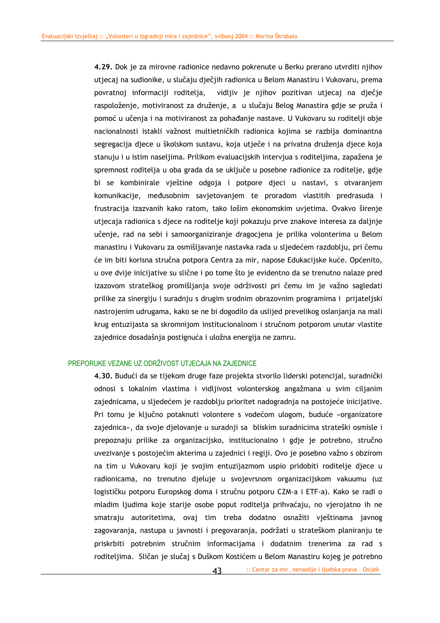**4.29.** Dok je za mirovne radionice nedavno pokrenute u Berku prerano utvrditi njihov utjecaj na sudionike, u slučaju dječjih radionica u Belom Manastiru i Vukovaru, prema povratnoj informaciji roditelja, vidljiv je njihov pozitivan utjecaj na dječje raspoloženje, motiviranost za druženje, a u slučaju Belog Manastira gdje se pruža i pomoć u učenja i na motiviranost za pohađanje nastave. U Vukovaru su roditelji obje nacionalnosti istakli važnost multietničkih radionica kojima se razbija dominantna segregacija djece u školskom sustavu, koja utječe i na privatna druženja djece koja stanuju i u istim naseljima. Prilikom evaluacijskih intervjua s roditeljima, zapažena je spremnost roditelja u oba grada da se uključe u posebne radionice za roditelje, gdje bi se kombinirale vještine odgoja i potpore djeci u nastavi, s otvaranjem komunikacije, međusobnim savjetovanjem te proradom vlastitih predrasuda i frustracija izazvanih kako ratom, tako lošim ekonomskim uvjetima. Ovakvo širenje utjecaja radionica s djece na roditelje koji pokazuju prve znakove interesa za daljnje učenje, rad na sebi i samoorganiziranje dragocjena je prilika volonterima u Belom manastiru i Vukovaru za osmišljavanje nastavka rada u sljedećem razdoblju, pri čemu će im biti korisna stručna potpora Centra za mir, napose Edukacijske kuće. Općenito, u ove dvije inicijative su slične i po tome što je evidentno da se trenutno nalaze pred izazovom strateškog promišljanja svoje održivosti pri čemu im je važno sagledati prilike za sinergiju i suradnju s drugim srodnim obrazovnim programima i prijateljski nastrojenim udrugama, kako se ne bi dogodilo da uslijed prevelikog oslanjanja na mali krug entuzijasta sa skromnijom institucionalnom i stručnom potporom unutar vlastite zajednice dosadašnja postignuća i uložna energija ne zamru.

#### PREPORUKE VEZANE UZ ODRŽIVOST UTJECAJA NA ZAJEDNICE

**4.30.** Budući da se tijekom druge faze projekta stvorilo liderski potencijal, suradnički odnosi s lokalnim vlastima i vidljivost volonterskog angažmana u svim ciljanim zajednicama, u sljedećem je razdoblju prioritet nadogradnja na postojeće inicijative. Pri tomu je ključno potaknuti volontere s vodećom ulogom, buduće «organizatore zajednica», da svoje djelovanje u suradnji sa bliskim suradnicima strateški osmisle i prepoznaju prilike za organizacijsko, institucionalno i gdje je potrebno, stručno uvezivanje s postojećim akterima u zajednici i regiji. Ovo je posebno važno s obzirom na tim u Vukovaru koji je svojim entuzijazmom uspio pridobiti roditelje djece u radionicama, no trenutno djeluje u svojevrsnom organizacijskom vakuumu (uz logističku potporu Europskog doma i stručnu potporu CZM-a i ETF-a). Kako se radi o mladim ljudima koje starije osobe poput roditelja prihvaćaju, no vjerojatno ih ne smatraju autoritetima, ovaj tim treba dodatno osnažiti vještinama javnog zagovaranja, nastupa u javnosti i pregovaranja, podržati u strateškom planiranju te priskrbiti potrebnim stručnim informacijama i dodatnim trenerima za rad s roditeljima. Sličan je slučaj s Duškom Kostićem u Belom Manastiru kojeg je potrebno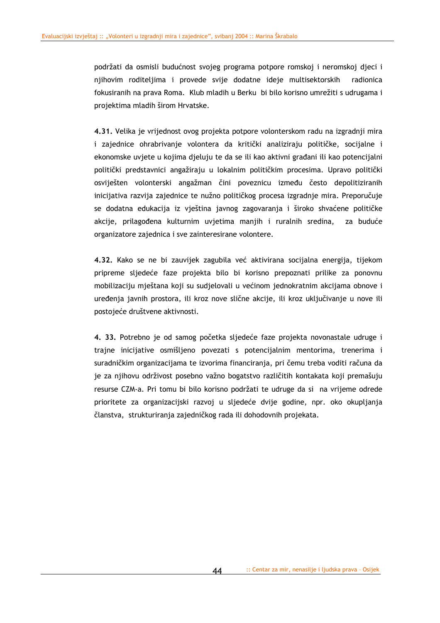podržati da osmisli budućnost svojeg programa potpore romskoj i neromskoj djeci i njihovim roditeljima i provede svije dodatne ideje multisektorskih radionica fokusiranih na prava Roma. Klub mladih u Berku bi bilo korisno umrežiti s udrugama i projektima mladih širom Hrvatske.

**4.31.** Velika je vrijednost ovog projekta potpore volonterskom radu na izgradnji mira i zajednice ohrabrivanje volontera da kritički analiziraju političke, socijalne i ekonomske uvjete u kojima djeluju te da se ili kao aktivni građani ili kao potencijalni politički predstavnici angažiraju u lokalnim političkim procesima. Upravo politički osviješten volonterski angažman čini poveznicu između često depolitiziranih inicijativa razvija zajednice te nužno političkog procesa izgradnje mira. Preporučuje se dodatna edukacija iz vještina javnog zagovaranja i široko shvaćene političke akcije, prilagođena kulturnim uvjetima manjih i ruralnih sredina, za buduće organizatore zajednica i sve zainteresirane volontere.

**4.32.** Kako se ne bi zauvijek zagubila već aktivirana socijalna energija, tijekom pripreme sljedeće faze projekta bilo bi korisno prepoznati prilike za ponovnu mobilizaciju mještana koji su sudjelovali u većinom jednokratnim akcijama obnove i uređenja javnih prostora, ili kroz nove slične akcije, ili kroz uključivanje u nove ili postojeće društvene aktivnosti.

**4. 33.** Potrebno je od samog početka sljedeće faze projekta novonastale udruge i trajne inicijative osmišljeno povezati s potencijalnim mentorima, trenerima i suradničkim organizacijama te izvorima financiranja, pri čemu treba voditi računa da je za njihovu održivost posebno važno bogatstvo različitih kontakata koji premašuju resurse CZM-a. Pri tomu bi bilo korisno podržati te udruge da si na vrijeme odrede prioritete za organizacijski razvoj u sljedeće dvije godine, npr. oko okupljanja članstva, strukturiranja zajedničkog rada ili dohodovnih projekata.

44